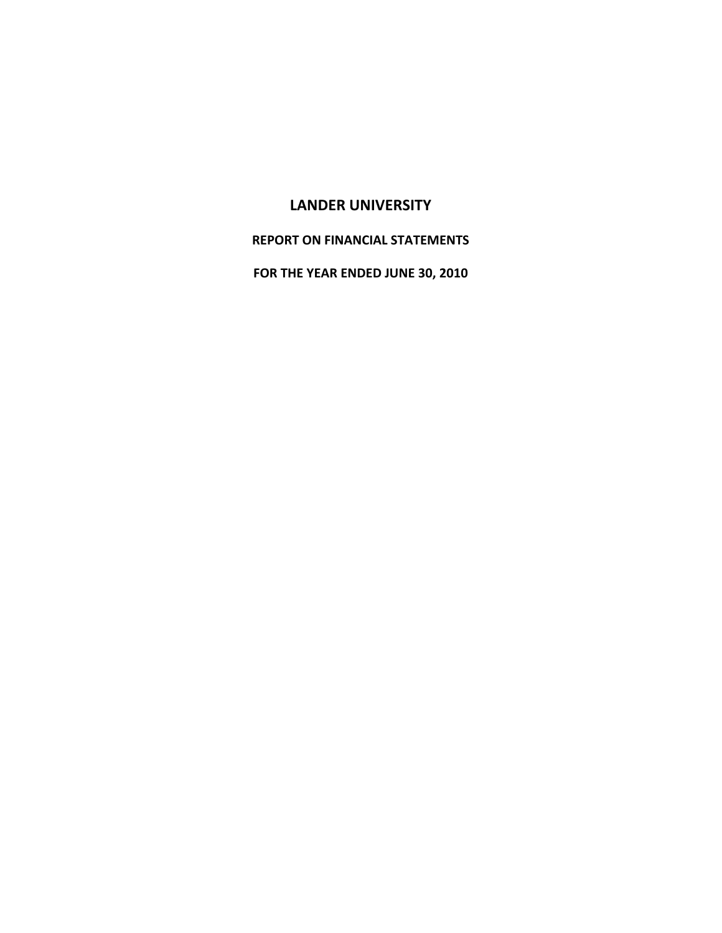# **LANDER UNIVERSITY**

# **REPORT ON FINANCIAL STATEMENTS**

**FOR THE YEAR ENDED JUNE 30, 2010**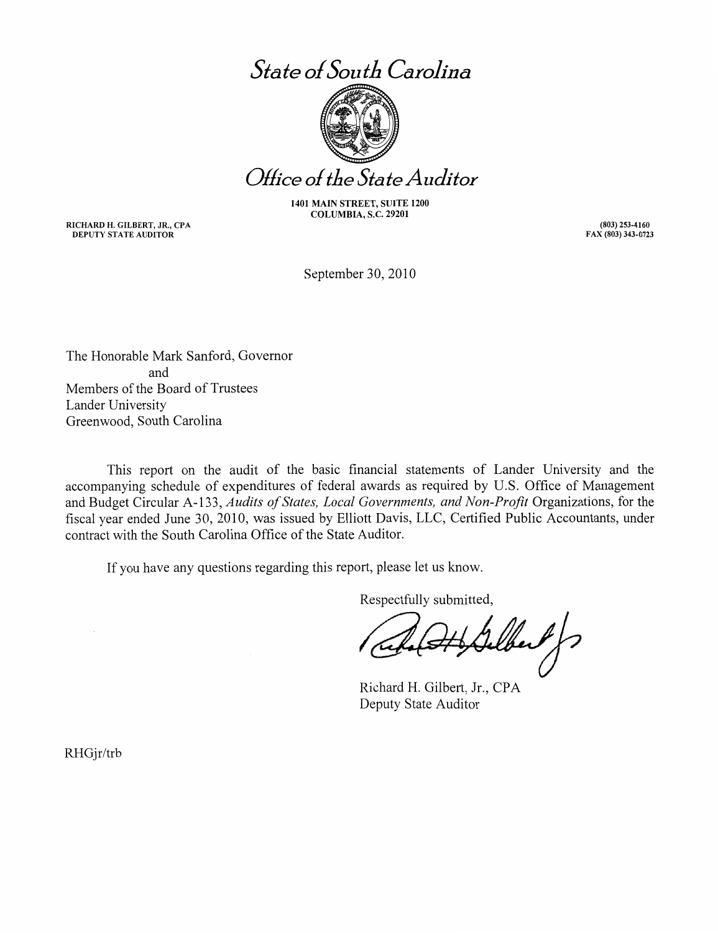



Office of the State Auditor

<sup>1401</sup> MAIN STREET, SUITE <sup>1200</sup> COLUMBIA, S.C. 29201

RICHARD H. GILBERT, JR., CPA (803) 253-4160<br>DEPUTY STATE AUDITOR FAX (803) 343-0723 DEPUTY STATE AUDITOR

September 30, 2010

The Honorable Mark Sanford, Governor and Members of the Board of Trustees Lander University Greenwood, South Carolina

This report on the audit of the basic financial statements of Lander University and the accompanying schedule of expenditures of federal awards as required by U.S. Office of Management and Budget Circular A-133, Audits of States, Local Governments, and Non-Profit Organizations, for the fiscal year ended June 30, 2010, was issued by Elliott Davis, LLC, Certified Public Accountants, under contract with the South Carolina Office of the State Auditor.

If you have any questions regarding this report, please let us know.

Respectfully submitted,

Jelbert f

Richard H. Gilbert, Jr., CPA Deputy State Auditor

RHGjr/trb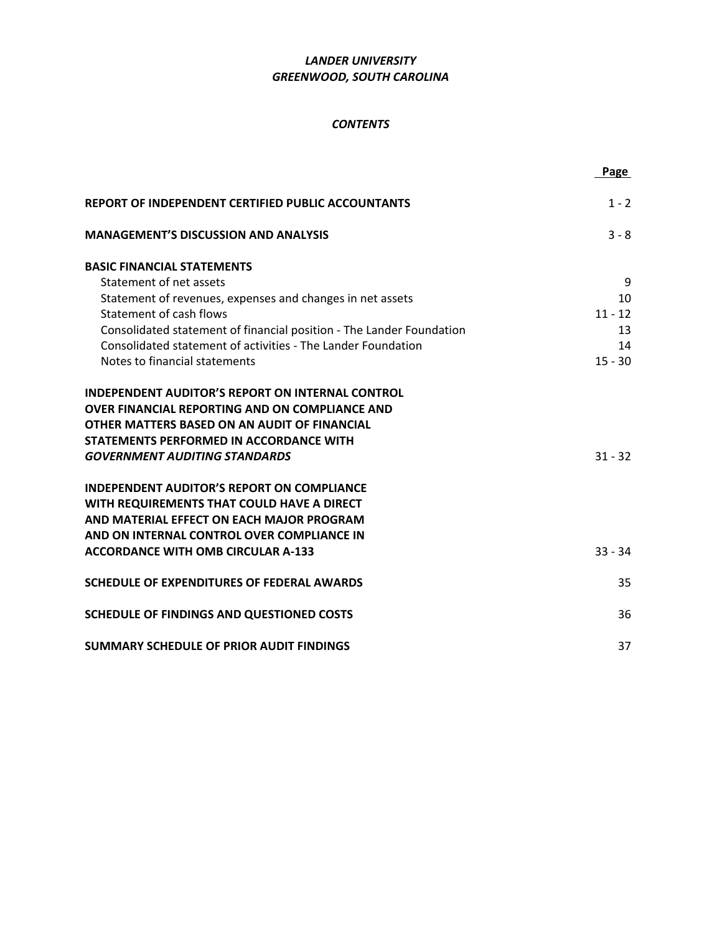## *LANDER UNIVERSITY GREENWOOD, SOUTH CAROLINA*

## *CONTENTS*

|                                                                                                                                                                                                                                                     | Page      |
|-----------------------------------------------------------------------------------------------------------------------------------------------------------------------------------------------------------------------------------------------------|-----------|
| <b>REPORT OF INDEPENDENT CERTIFIED PUBLIC ACCOUNTANTS</b>                                                                                                                                                                                           | $1 - 2$   |
| <b>MANAGEMENT'S DISCUSSION AND ANALYSIS</b>                                                                                                                                                                                                         | $3 - 8$   |
| <b>BASIC FINANCIAL STATEMENTS</b>                                                                                                                                                                                                                   |           |
| Statement of net assets                                                                                                                                                                                                                             | 9         |
| Statement of revenues, expenses and changes in net assets                                                                                                                                                                                           | 10        |
| Statement of cash flows                                                                                                                                                                                                                             | $11 - 12$ |
| Consolidated statement of financial position - The Lander Foundation                                                                                                                                                                                | 13        |
| Consolidated statement of activities - The Lander Foundation                                                                                                                                                                                        | 14        |
| Notes to financial statements                                                                                                                                                                                                                       | $15 - 30$ |
| <b>INDEPENDENT AUDITOR'S REPORT ON INTERNAL CONTROL</b><br><b>OVER FINANCIAL REPORTING AND ON COMPLIANCE AND</b><br>OTHER MATTERS BASED ON AN AUDIT OF FINANCIAL<br>STATEMENTS PERFORMED IN ACCORDANCE WITH<br><b>GOVERNMENT AUDITING STANDARDS</b> | $31 - 32$ |
| <b>INDEPENDENT AUDITOR'S REPORT ON COMPLIANCE</b>                                                                                                                                                                                                   |           |
| WITH REQUIREMENTS THAT COULD HAVE A DIRECT                                                                                                                                                                                                          |           |
| AND MATERIAL EFFECT ON EACH MAJOR PROGRAM                                                                                                                                                                                                           |           |
| AND ON INTERNAL CONTROL OVER COMPLIANCE IN                                                                                                                                                                                                          |           |
| <b>ACCORDANCE WITH OMB CIRCULAR A-133</b>                                                                                                                                                                                                           | $33 - 34$ |
| SCHEDULE OF EXPENDITURES OF FEDERAL AWARDS                                                                                                                                                                                                          | 35        |
| SCHEDULE OF FINDINGS AND QUESTIONED COSTS                                                                                                                                                                                                           | 36        |
| SUMMARY SCHEDULE OF PRIOR AUDIT FINDINGS                                                                                                                                                                                                            | 37        |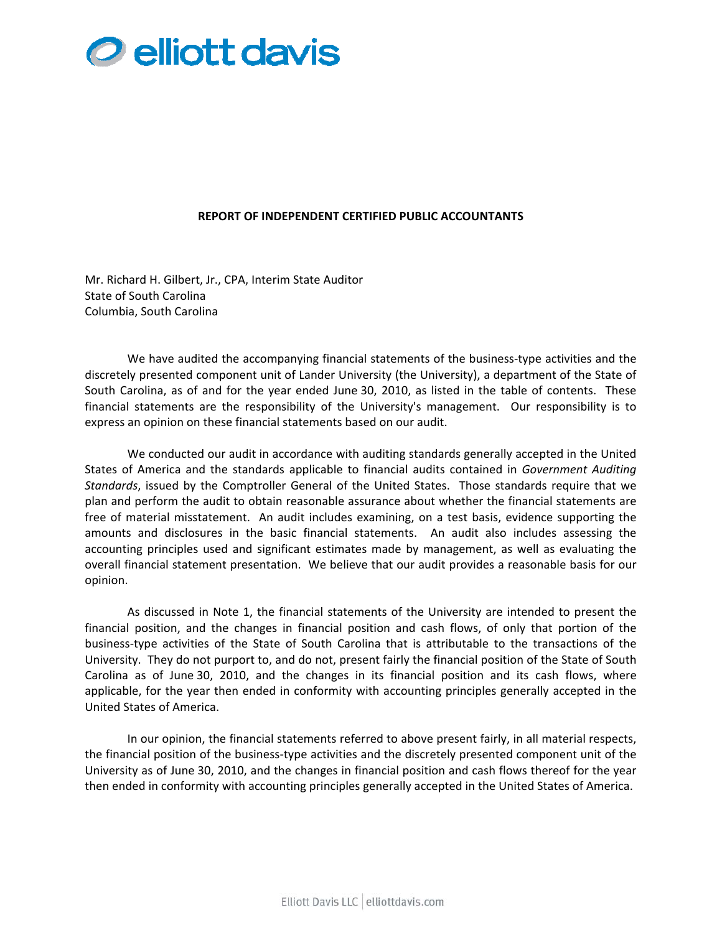

#### **REPORT OF INDEPENDENT CERTIFIED PUBLIC ACCOUNTANTS**

Mr. Richard H. Gilbert, Jr., CPA, Interim State Auditor State of South Carolina Columbia, South Carolina

We have audited the accompanying financial statements of the business-type activities and the discretely presented component unit of Lander University (the University), a department of the State of South Carolina, as of and for the year ended June 30, 2010, as listed in the table of contents. These financial statements are the responsibility of the University's management. Our responsibility is to express an opinion on these financial statements based on our audit.

We conducted our audit in accordance with auditing standards generally accepted in the United States of America and the standards applicable to financial audits contained in *Government Auditing Standards*, issued by the Comptroller General of the United States. Those standards require that we plan and perform the audit to obtain reasonable assurance about whether the financial statements are free of material misstatement. An audit includes examining, on a test basis, evidence supporting the amounts and disclosures in the basic financial statements. An audit also includes assessing the accounting principles used and significant estimates made by management, as well as evaluating the overall financial statement presentation. We believe that our audit provides a reasonable basis for our opinion.

As discussed in Note 1, the financial statements of the University are intended to present the financial position, and the changes in financial position and cash flows, of only that portion of the business‐type activities of the State of South Carolina that is attributable to the transactions of the University. They do not purport to, and do not, present fairly the financial position of the State of South Carolina as of June 30, 2010, and the changes in its financial position and its cash flows, where applicable, for the year then ended in conformity with accounting principles generally accepted in the United States of America.

In our opinion, the financial statements referred to above present fairly, in all material respects, the financial position of the business‐type activities and the discretely presented component unit of the University as of June 30, 2010, and the changes in financial position and cash flows thereof for the year then ended in conformity with accounting principles generally accepted in the United States of America.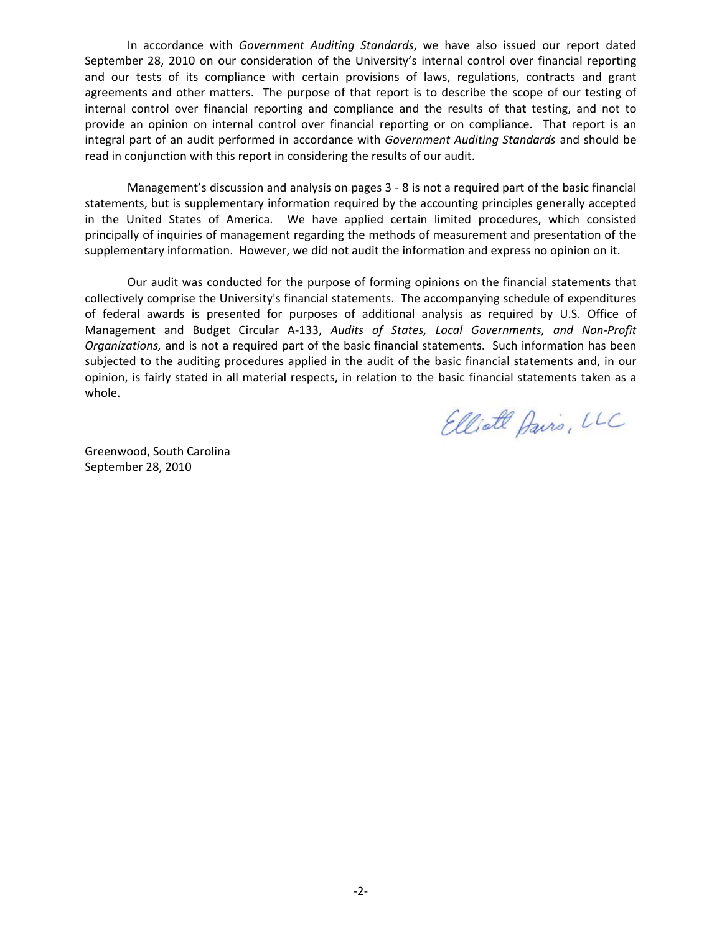In accordance with *Government Auditing Standards*, we have also issued our report dated September 28, 2010 on our consideration of the University's internal control over financial reporting and our tests of its compliance with certain provisions of laws, regulations, contracts and grant agreements and other matters. The purpose of that report is to describe the scope of our testing of internal control over financial reporting and compliance and the results of that testing, and not to provide an opinion on internal control over financial reporting or on compliance. That report is an integral part of an audit performed in accordance with *Government Auditing Standards* and should be read in conjunction with this report in considering the results of our audit.

Management's discussion and analysis on pages 3 ‐ 8 is not a required part of the basic financial statements, but is supplementary information required by the accounting principles generally accepted in the United States of America. We have applied certain limited procedures, which consisted principally of inquiries of management regarding the methods of measurement and presentation of the supplementary information. However, we did not audit the information and express no opinion on it.

Our audit was conducted for the purpose of forming opinions on the financial statements that collectively comprise the University's financial statements. The accompanying schedule of expenditures of federal awards is presented for purposes of additional analysis as required by U.S. Office of Management and Budget Circular A‐133, *Audits of States, Local Governments, and Non‐Profit Organizations,* and is not a required part of the basic financial statements. Such information has been subjected to the auditing procedures applied in the audit of the basic financial statements and, in our opinion, is fairly stated in all material respects, in relation to the basic financial statements taken as a whole.

Elliatt Davis, LLC

Greenwood, South Carolina September 28, 2010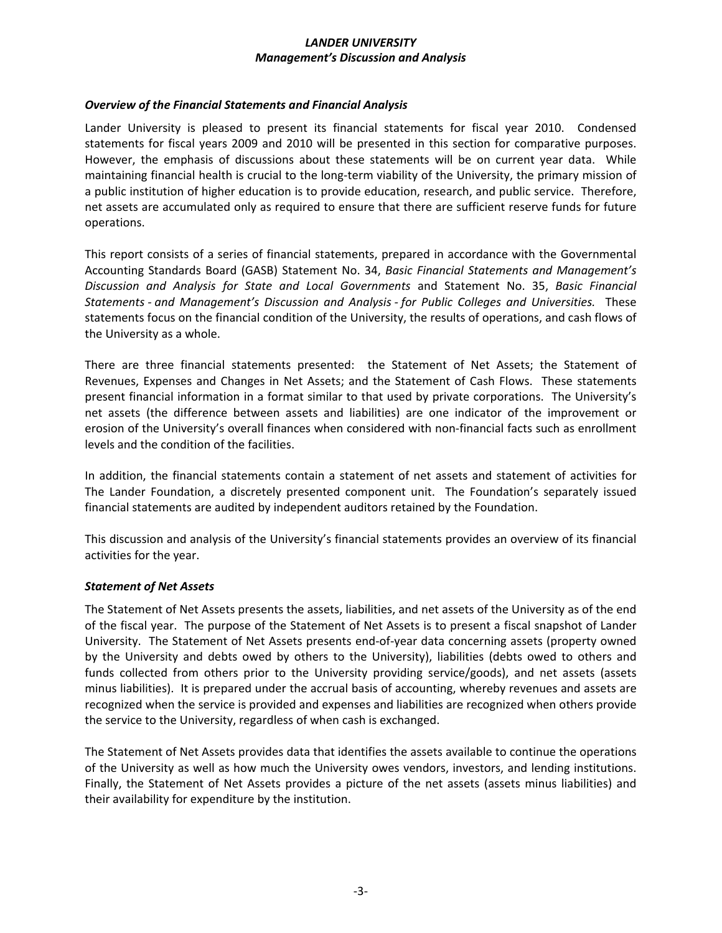### *LANDER UNIVERSITY Management's Discussion and Analysis*

### *Overview of the Financial Statements and Financial Analysis*

Lander University is pleased to present its financial statements for fiscal year 2010. Condensed statements for fiscal years 2009 and 2010 will be presented in this section for comparative purposes. However, the emphasis of discussions about these statements will be on current year data. While maintaining financial health is crucial to the long-term viability of the University, the primary mission of a public institution of higher education is to provide education, research, and public service. Therefore, net assets are accumulated only as required to ensure that there are sufficient reserve funds for future operations.

This report consists of a series of financial statements, prepared in accordance with the Governmental Accounting Standards Board (GASB) Statement No. 34, *Basic Financial Statements and Management's Discussion and Analysis for State and Local Governments* and Statement No. 35, *Basic Financial Statements ‐ and Management's Discussion and Analysis ‐ for Public Colleges and Universities.* These statements focus on the financial condition of the University, the results of operations, and cash flows of the University as a whole.

There are three financial statements presented: the Statement of Net Assets; the Statement of Revenues, Expenses and Changes in Net Assets; and the Statement of Cash Flows. These statements present financial information in a format similar to that used by private corporations. The University's net assets (the difference between assets and liabilities) are one indicator of the improvement or erosion of the University's overall finances when considered with non-financial facts such as enrollment levels and the condition of the facilities.

In addition, the financial statements contain a statement of net assets and statement of activities for The Lander Foundation, a discretely presented component unit. The Foundation's separately issued financial statements are audited by independent auditors retained by the Foundation.

This discussion and analysis of the University's financial statements provides an overview of its financial activities for the year.

### *Statement of Net Assets*

The Statement of Net Assets presents the assets, liabilities, and net assets of the University as of the end of the fiscal year. The purpose of the Statement of Net Assets is to present a fiscal snapshot of Lander University. The Statement of Net Assets presents end‐of‐year data concerning assets (property owned by the University and debts owed by others to the University), liabilities (debts owed to others and funds collected from others prior to the University providing service/goods), and net assets (assets minus liabilities). It is prepared under the accrual basis of accounting, whereby revenues and assets are recognized when the service is provided and expenses and liabilities are recognized when others provide the service to the University, regardless of when cash is exchanged.

The Statement of Net Assets provides data that identifies the assets available to continue the operations of the University as well as how much the University owes vendors, investors, and lending institutions. Finally, the Statement of Net Assets provides a picture of the net assets (assets minus liabilities) and their availability for expenditure by the institution.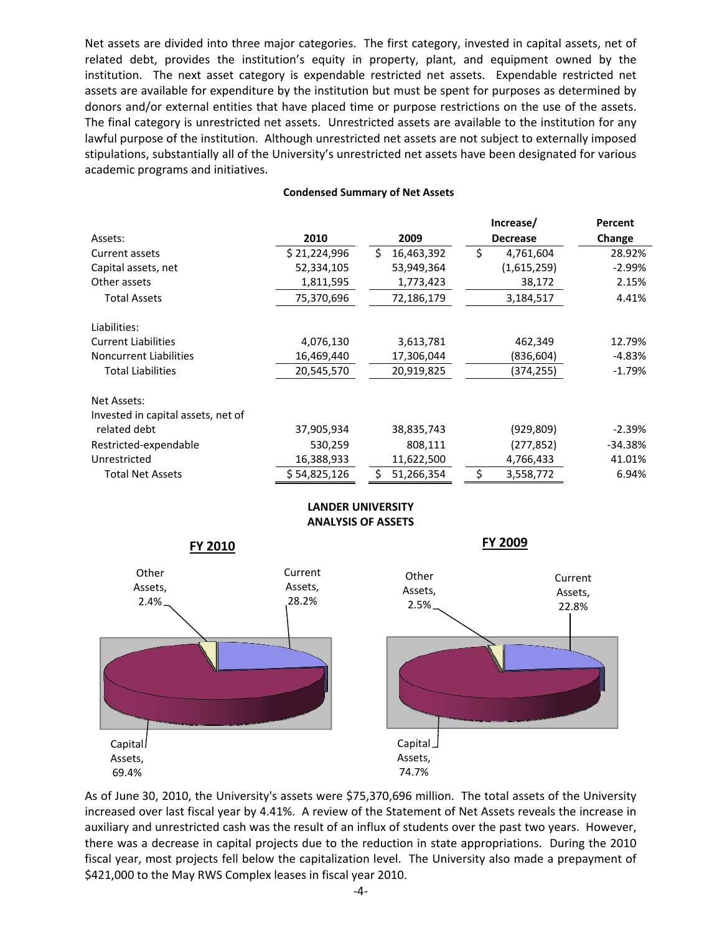Net assets are divided into three major categories. The first category, invested in capital assets, net of related debt, provides the institution's equity in property, plant, and equipment owned by the institution. The next asset category is expendable restricted net assets. Expendable restricted net assets are available for expenditure by the institution but must be spent for purposes as determined by donors and/or external entities that have placed time or purpose restrictions on the use of the assets. The final category is unrestricted net assets. Unrestricted assets are available to the institution for any lawful purpose of the institution. Although unrestricted net assets are not subject to externally imposed stipulations, substantially all of the University's unrestricted net assets have been designated for various academic programs and initiatives.

#### **Condensed Summary of Net Assets**

|                                    |              |                  | Increase/       | Percent   |
|------------------------------------|--------------|------------------|-----------------|-----------|
| Assets:                            | 2010         | 2009             | <b>Decrease</b> | Change    |
| Current assets                     | \$21,224,996 | \$<br>16,463,392 | \$<br>4,761,604 | 28.92%    |
| Capital assets, net                | 52,334,105   | 53,949,364       | (1,615,259)     | $-2.99%$  |
| Other assets                       | 1,811,595    | 1,773,423        | 38,172          | 2.15%     |
| <b>Total Assets</b>                | 75,370,696   | 72,186,179       | 3,184,517       | 4.41%     |
| Liabilities:                       |              |                  |                 |           |
| <b>Current Liabilities</b>         | 4,076,130    | 3,613,781        | 462,349         | 12.79%    |
| <b>Noncurrent Liabilities</b>      | 16,469,440   | 17,306,044       | (836,604)       | -4.83%    |
| <b>Total Liabilities</b>           | 20,545,570   | 20,919,825       | (374,255)       | $-1.79%$  |
| Net Assets:                        |              |                  |                 |           |
| Invested in capital assets, net of |              |                  |                 |           |
| related debt                       | 37,905,934   | 38,835,743       | (929,809)       | $-2.39%$  |
| Restricted-expendable              | 530,259      | 808,111          | (277,852)       | $-34.38%$ |
| Unrestricted                       | 16,388,933   | 11,622,500       | 4,766,433       | 41.01%    |
| <b>Total Net Assets</b>            | \$54,825,126 | Ś<br>51,266,354  | 3,558,772       | 6.94%     |

### **LANDER UNIVERSITY ANALYSIS OF ASSETS**



As of June 30, 2010, the University's assets were \$75,370,696 million. The total assets of the University increased over last fiscal year by 4.41%. A review of the Statement of Net Assets reveals the increase in auxiliary and unrestricted cash was the result of an influx of students over the past two years. However, there was a decrease in capital projects due to the reduction in state appropriations. During the 2010 fiscal year, most projects fell below the capitalization level. The University also made a prepayment of \$421,000 to the May RWS Complex leases in fiscal year 2010.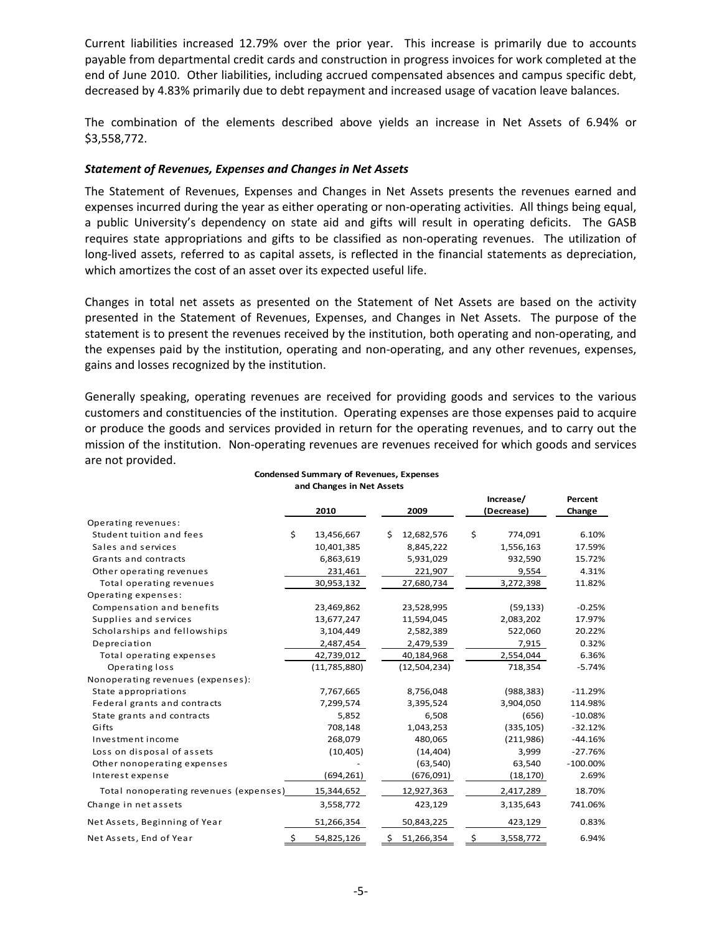Current liabilities increased 12.79% over the prior year. This increase is primarily due to accounts payable from departmental credit cards and construction in progress invoices for work completed at the end of June 2010. Other liabilities, including accrued compensated absences and campus specific debt, decreased by 4.83% primarily due to debt repayment and increased usage of vacation leave balances.

The combination of the elements described above yields an increase in Net Assets of 6.94% or \$3,558,772.

### *Statement of Revenues, Expenses and Changes in Net Assets*

The Statement of Revenues, Expenses and Changes in Net Assets presents the revenues earned and expenses incurred during the year as either operating or non-operating activities. All things being equal, a public University's dependency on state aid and gifts will result in operating deficits. The GASB requires state appropriations and gifts to be classified as non-operating revenues. The utilization of long-lived assets, referred to as capital assets, is reflected in the financial statements as depreciation, which amortizes the cost of an asset over its expected useful life.

Changes in total net assets as presented on the Statement of Net Assets are based on the activity presented in the Statement of Revenues, Expenses, and Changes in Net Assets. The purpose of the statement is to present the revenues received by the institution, both operating and non‐operating, and the expenses paid by the institution, operating and non‐operating, and any other revenues, expenses, gains and losses recognized by the institution.

Generally speaking, operating revenues are received for providing goods and services to the various customers and constituencies of the institution. Operating expenses are those expenses paid to acquire or produce the goods and services provided in return for the operating revenues, and to carry out the mission of the institution. Non‐operating revenues are revenues received for which goods and services are not provided.

|                                        | 2010 |              |    | 2009         | Increase/<br>(Decrease) | Percent     |
|----------------------------------------|------|--------------|----|--------------|-------------------------|-------------|
| Operating revenues:                    |      |              |    |              |                         | Change      |
| Student tuition and fees               | Ś    | 13,456,667   | Ś. | 12,682,576   | \$<br>774,091           | 6.10%       |
| Sales and services                     |      | 10,401,385   |    | 8,845,222    | 1,556,163               | 17.59%      |
| Grants and contracts                   |      | 6,863,619    |    | 5,931,029    | 932,590                 | 15.72%      |
| Other operating revenues               |      | 231,461      |    | 221,907      | 9,554                   | 4.31%       |
| Total operating revenues               |      | 30,953,132   |    | 27,680,734   | 3,272,398               | 11.82%      |
| Operating expenses:                    |      |              |    |              |                         |             |
| Compensation and benefits              |      | 23,469,862   |    | 23,528,995   | (59, 133)               | $-0.25%$    |
| Supplies and services                  |      | 13,677,247   |    | 11,594,045   | 2,083,202               | 17.97%      |
| Scholarships and fellowships           |      | 3,104,449    |    | 2,582,389    | 522,060                 | 20.22%      |
| Depreciation                           |      | 2,487,454    |    | 2,479,539    | 7,915                   | 0.32%       |
| Total operating expenses               |      | 42,739,012   |    | 40,184,968   | 2,554,044               | 6.36%       |
| Operating loss                         |      | (11,785,880) |    | (12,504,234) | 718,354                 | $-5.74%$    |
| Nonoperating revenues (expenses):      |      |              |    |              |                         |             |
| State appropriations                   |      | 7,767,665    |    | 8,756,048    | (988, 383)              | $-11.29%$   |
| Federal grants and contracts           |      | 7,299,574    |    | 3,395,524    | 3,904,050               | 114.98%     |
| State grants and contracts             |      | 5,852        |    | 6,508        | (656)                   | $-10.08%$   |
| Gifts                                  |      | 708,148      |    | 1,043,253    | (335, 105)              | $-32.12%$   |
| Investment income                      |      | 268,079      |    | 480,065      | (211, 986)              | $-44.16%$   |
| Loss on disposal of assets             |      | (10, 405)    |    | (14, 404)    | 3,999                   | $-27.76%$   |
| Other nonoperating expenses            |      |              |    | (63, 540)    | 63,540                  | $-100.00\%$ |
| Interest expense                       |      | (694,261)    |    | (676,091)    | (18, 170)               | 2.69%       |
| Total nonoperating revenues (expenses) |      | 15,344,652   |    | 12,927,363   | 2,417,289               | 18.70%      |
| Change in net assets                   |      | 3,558,772    |    | 423,129      | 3,135,643               | 741.06%     |
| Net Assets, Beginning of Year          |      | 51,266,354   |    | 50,843,225   | 423,129                 | 0.83%       |
| Net Assets, End of Year                | \$   | 54,825,126   | \$ | 51,266,354   | \$<br>3,558,772         | 6.94%       |

#### **Condensed Summary of Revenues, Expenses and Changes in Net Assets**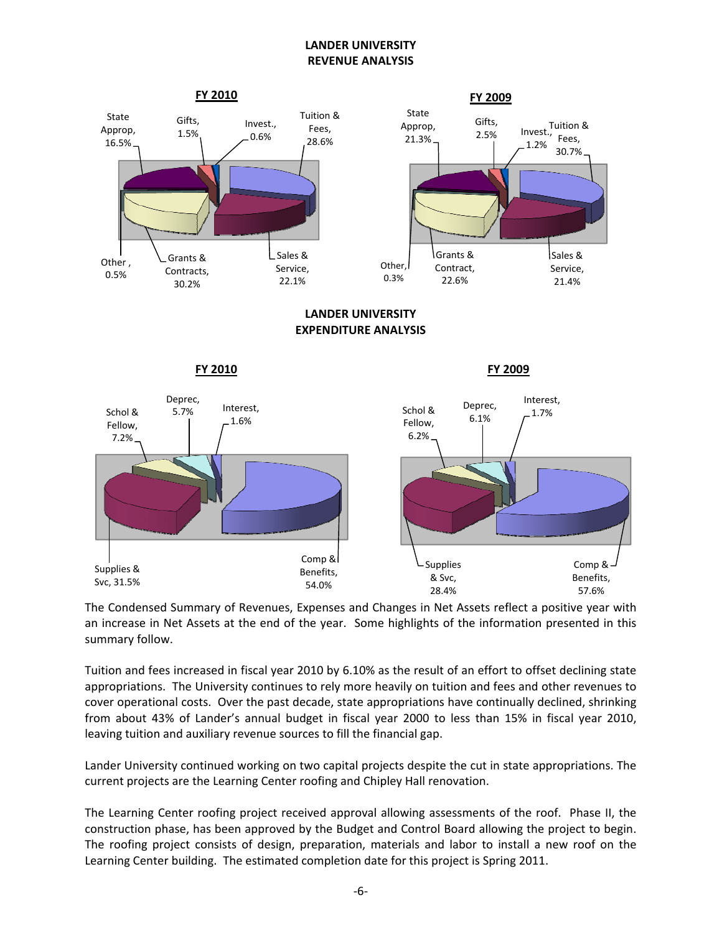## **LANDER UNIVERSITY REVENUE ANALYSIS**



 The Condensed Summary of Revenues, Expenses and Changes in Net Assets reflect <sup>a</sup> positive year with an increase in Net Assets at the end of the year. Some highlights of the information presented in this summary follow.

Tuition and fees increased in fiscal year 2010 by 6.10% as the result of an effort to offset declining state appropriations. The University continues to rely more heavily on tuition and fees and other revenues to cover operational costs. Over the past decade, state appropriations have continually declined, shrinking from about 43% of Lander's annual budget in fiscal year 2000 to less than 15% in fiscal year 2010, leaving tuition and auxiliary revenue sources to fill the financial gap.

Lander University continued working on two capital projects despite the cut in state appropriations. The current projects are the Learning Center roofing and Chipley Hall renovation.

The Learning Center roofing project received approval allowing assessments of the roof. Phase II, the construction phase, has been approved by the Budget and Control Board allowing the project to begin. The roofing project consists of design, preparation, materials and labor to install a new roof on the Learning Center building. The estimated completion date for this project is Spring 2011.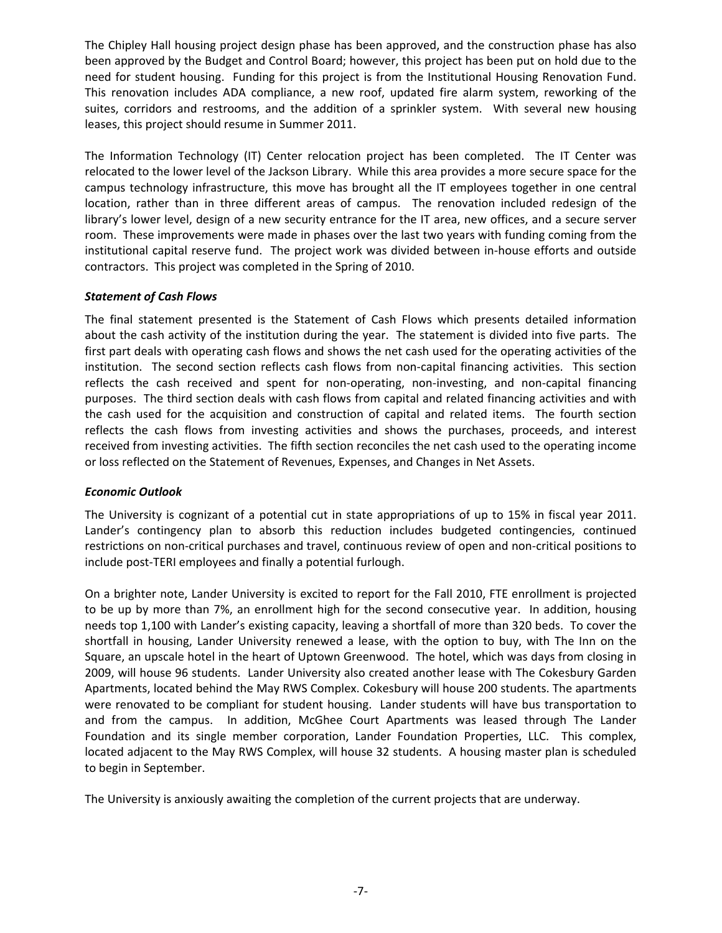The Chipley Hall housing project design phase has been approved, and the construction phase has also been approved by the Budget and Control Board; however, this project has been put on hold due to the need for student housing. Funding for this project is from the Institutional Housing Renovation Fund. This renovation includes ADA compliance, a new roof, updated fire alarm system, reworking of the suites, corridors and restrooms, and the addition of a sprinkler system. With several new housing leases, this project should resume in Summer 2011.

The Information Technology (IT) Center relocation project has been completed. The IT Center was relocated to the lower level of the Jackson Library. While this area provides a more secure space for the campus technology infrastructure, this move has brought all the IT employees together in one central location, rather than in three different areas of campus. The renovation included redesign of the library's lower level, design of a new security entrance for the IT area, new offices, and a secure server room. These improvements were made in phases over the last two years with funding coming from the institutional capital reserve fund. The project work was divided between in‐house efforts and outside contractors. This project was completed in the Spring of 2010.

## *Statement of Cash Flows*

The final statement presented is the Statement of Cash Flows which presents detailed information about the cash activity of the institution during the year. The statement is divided into five parts. The first part deals with operating cash flows and shows the net cash used for the operating activities of the institution. The second section reflects cash flows from non-capital financing activities. This section reflects the cash received and spent for non-operating, non-investing, and non-capital financing purposes. The third section deals with cash flows from capital and related financing activities and with the cash used for the acquisition and construction of capital and related items. The fourth section reflects the cash flows from investing activities and shows the purchases, proceeds, and interest received from investing activities. The fifth section reconciles the net cash used to the operating income or loss reflected on the Statement of Revenues, Expenses, and Changes in Net Assets.

### *Economic Outlook*

The University is cognizant of a potential cut in state appropriations of up to 15% in fiscal year 2011. Lander's contingency plan to absorb this reduction includes budgeted contingencies, continued restrictions on non‐critical purchases and travel, continuous review of open and non‐critical positions to include post‐TERI employees and finally a potential furlough.

On a brighter note, Lander University is excited to report for the Fall 2010, FTE enrollment is projected to be up by more than 7%, an enrollment high for the second consecutive year. In addition, housing needs top 1,100 with Lander's existing capacity, leaving a shortfall of more than 320 beds. To cover the shortfall in housing, Lander University renewed a lease, with the option to buy, with The Inn on the Square, an upscale hotel in the heart of Uptown Greenwood. The hotel, which was days from closing in 2009, will house 96 students. Lander University also created another lease with The Cokesbury Garden Apartments, located behind the May RWS Complex. Cokesbury will house 200 students. The apartments were renovated to be compliant for student housing. Lander students will have bus transportation to and from the campus. In addition, McGhee Court Apartments was leased through The Lander Foundation and its single member corporation, Lander Foundation Properties, LLC. This complex, located adjacent to the May RWS Complex, will house 32 students. A housing master plan is scheduled to begin in September.

The University is anxiously awaiting the completion of the current projects that are underway.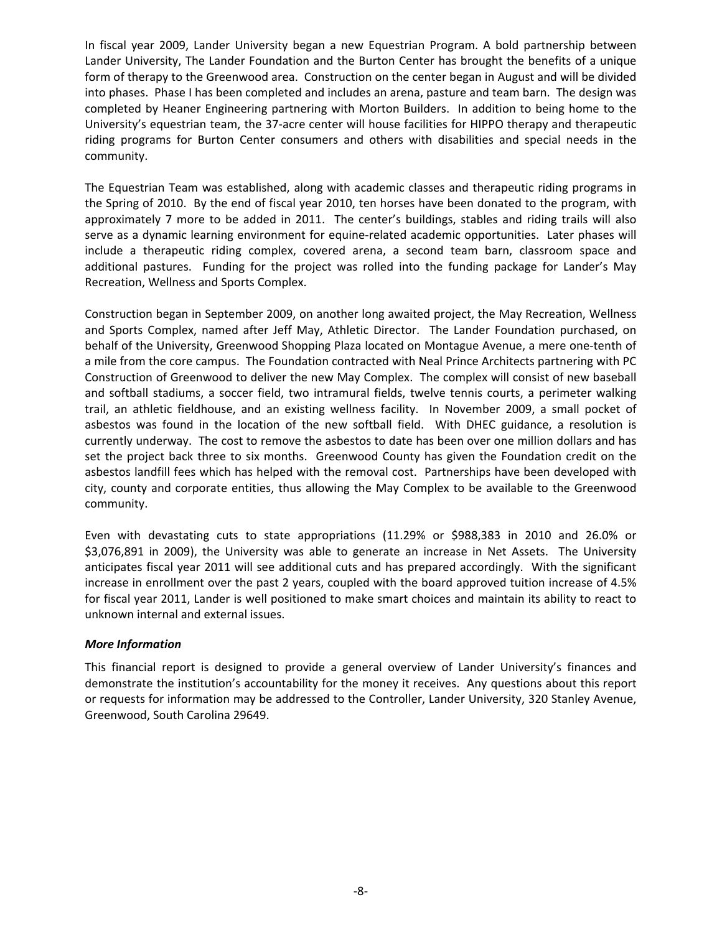In fiscal year 2009, Lander University began a new Equestrian Program. A bold partnership between Lander University, The Lander Foundation and the Burton Center has brought the benefits of a unique form of therapy to the Greenwood area. Construction on the center began in August and will be divided into phases. Phase I has been completed and includes an arena, pasture and team barn. The design was completed by Heaner Engineering partnering with Morton Builders. In addition to being home to the University's equestrian team, the 37‐acre center will house facilities for HIPPO therapy and therapeutic riding programs for Burton Center consumers and others with disabilities and special needs in the community.

The Equestrian Team was established, along with academic classes and therapeutic riding programs in the Spring of 2010. By the end of fiscal year 2010, ten horses have been donated to the program, with approximately 7 more to be added in 2011. The center's buildings, stables and riding trails will also serve as a dynamic learning environment for equine-related academic opportunities. Later phases will include a therapeutic riding complex, covered arena, a second team barn, classroom space and additional pastures. Funding for the project was rolled into the funding package for Lander's May Recreation, Wellness and Sports Complex.

Construction began in September 2009, on another long awaited project, the May Recreation, Wellness and Sports Complex, named after Jeff May, Athletic Director. The Lander Foundation purchased, on behalf of the University, Greenwood Shopping Plaza located on Montague Avenue, a mere one-tenth of a mile from the core campus. The Foundation contracted with Neal Prince Architects partnering with PC Construction of Greenwood to deliver the new May Complex. The complex will consist of new baseball and softball stadiums, a soccer field, two intramural fields, twelve tennis courts, a perimeter walking trail, an athletic fieldhouse, and an existing wellness facility. In November 2009, a small pocket of asbestos was found in the location of the new softball field. With DHEC guidance, a resolution is currently underway. The cost to remove the asbestos to date has been over one million dollars and has set the project back three to six months. Greenwood County has given the Foundation credit on the asbestos landfill fees which has helped with the removal cost. Partnerships have been developed with city, county and corporate entities, thus allowing the May Complex to be available to the Greenwood community.

Even with devastating cuts to state appropriations (11.29% or \$988,383 in 2010 and 26.0% or \$3,076,891 in 2009), the University was able to generate an increase in Net Assets. The University anticipates fiscal year 2011 will see additional cuts and has prepared accordingly. With the significant increase in enrollment over the past 2 years, coupled with the board approved tuition increase of 4.5% for fiscal year 2011, Lander is well positioned to make smart choices and maintain its ability to react to unknown internal and external issues.

### *More Information*

This financial report is designed to provide a general overview of Lander University's finances and demonstrate the institution's accountability for the money it receives. Any questions about this report or requests for information may be addressed to the Controller, Lander University, 320 Stanley Avenue, Greenwood, South Carolina 29649.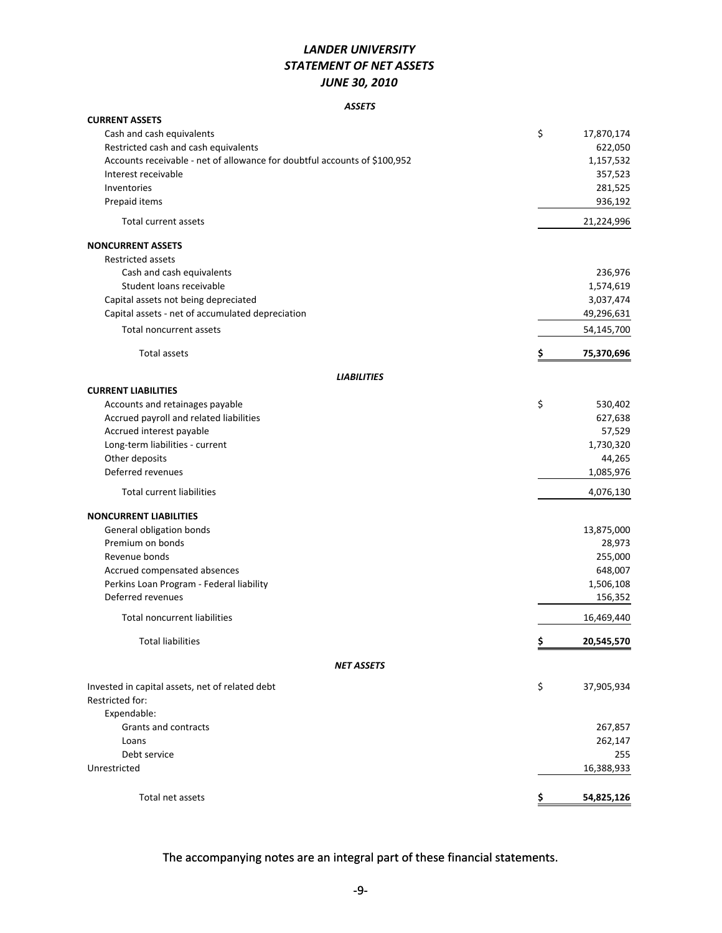# *LANDER UNIVERSITY STATEMENT OF NET ASSETS JUNE 30, 2010*

#### *ASSETS*

| <b>CURRENT ASSETS</b>                                                     |                  |
|---------------------------------------------------------------------------|------------------|
| Cash and cash equivalents                                                 | \$<br>17,870,174 |
| Restricted cash and cash equivalents                                      | 622,050          |
| Accounts receivable - net of allowance for doubtful accounts of \$100,952 | 1,157,532        |
| Interest receivable                                                       | 357,523          |
| Inventories                                                               | 281,525          |
| Prepaid items                                                             | 936,192          |
| Total current assets                                                      | 21,224,996       |
| <b>NONCURRENT ASSETS</b>                                                  |                  |
| <b>Restricted assets</b>                                                  |                  |
| Cash and cash equivalents                                                 | 236,976          |
| Student loans receivable                                                  | 1,574,619        |
| Capital assets not being depreciated                                      | 3,037,474        |
| Capital assets - net of accumulated depreciation                          | 49,296,631       |
| <b>Total noncurrent assets</b>                                            | 54,145,700       |
| Total assets                                                              | \$<br>75,370,696 |
| <b>LIABILITIES</b>                                                        |                  |
| <b>CURRENT LIABILITIES</b>                                                |                  |
| Accounts and retainages payable                                           | \$<br>530,402    |
| Accrued payroll and related liabilities                                   | 627,638          |
| Accrued interest payable                                                  | 57,529           |
| Long-term liabilities - current                                           | 1,730,320        |
| Other deposits                                                            | 44,265           |
| Deferred revenues                                                         | 1,085,976        |
| <b>Total current liabilities</b>                                          | 4,076,130        |
| <b>NONCURRENT LIABILITIES</b>                                             |                  |
| General obligation bonds                                                  | 13,875,000       |
| Premium on bonds                                                          | 28,973           |
| Revenue bonds                                                             | 255,000          |
| Accrued compensated absences                                              | 648,007          |
| Perkins Loan Program - Federal liability                                  | 1,506,108        |
| Deferred revenues                                                         | 156,352          |
| <b>Total noncurrent liabilities</b>                                       | 16,469,440       |
| <b>Total liabilities</b>                                                  | 20,545,570       |
| <b>NET ASSETS</b>                                                         |                  |
| Invested in capital assets, net of related debt                           | \$<br>37,905,934 |
| Restricted for:                                                           |                  |
| Expendable:                                                               |                  |
| Grants and contracts                                                      | 267,857          |
| Loans                                                                     | 262,147          |
| Debt service                                                              | 255              |
| Unrestricted                                                              | 16,388,933       |
|                                                                           |                  |
| Total net assets                                                          | \$<br>54,825,126 |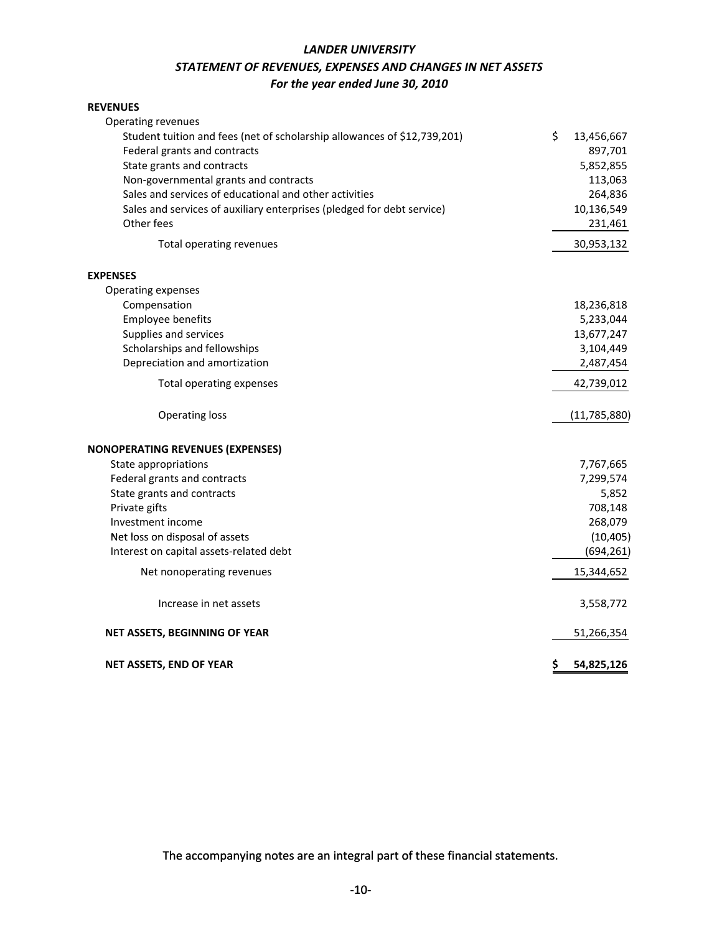## *LANDER UNIVERSITY STATEMENT OF REVENUES, EXPENSES AND CHANGES IN NET ASSETS For the year ended June 30, 2010*

| <b>REVENUES</b> |  |
|-----------------|--|
|-----------------|--|

|                                                                                                | 51,266,354       |
|------------------------------------------------------------------------------------------------|------------------|
| <b>NET ASSETS, BEGINNING OF YEAR</b>                                                           |                  |
| Increase in net assets                                                                         | 3,558,772        |
| Net nonoperating revenues                                                                      | 15,344,652       |
| Interest on capital assets-related debt                                                        | (694, 261)       |
| Net loss on disposal of assets                                                                 | (10, 405)        |
| Investment income                                                                              | 268,079          |
| Private gifts                                                                                  | 708,148          |
| State grants and contracts                                                                     | 5,852            |
| Federal grants and contracts                                                                   | 7,299,574        |
| <b>NONOPERATING REVENUES (EXPENSES)</b><br>State appropriations                                | 7,767,665        |
|                                                                                                |                  |
| <b>Operating loss</b>                                                                          | (11, 785, 880)   |
| Total operating expenses                                                                       | 42,739,012       |
| Depreciation and amortization                                                                  | 2,487,454        |
| Scholarships and fellowships                                                                   | 3,104,449        |
| Supplies and services                                                                          | 13,677,247       |
| Employee benefits                                                                              | 5,233,044        |
| Operating expenses<br>Compensation                                                             | 18,236,818       |
| <b>EXPENSES</b>                                                                                |                  |
| Total operating revenues                                                                       | 30,953,132       |
| Other fees                                                                                     | 231,461          |
| Sales and services of auxiliary enterprises (pledged for debt service)                         | 10,136,549       |
| Sales and services of educational and other activities                                         | 264,836          |
| Non-governmental grants and contracts                                                          | 113,063          |
| State grants and contracts                                                                     | 5,852,855        |
| Federal grants and contracts                                                                   | 897,701          |
| Operating revenues<br>Student tuition and fees (net of scholarship allowances of \$12,739,201) | \$<br>13,456,667 |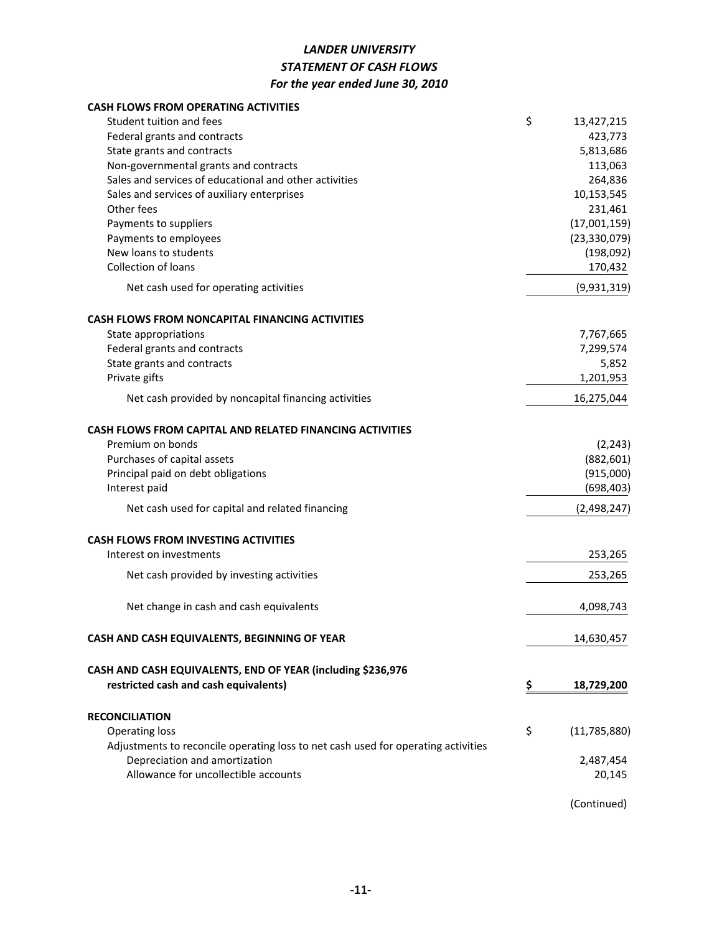# *LANDER UNIVERSITY STATEMENT OF CASH FLOWS For the year ended June 30, 2010*

| <b>CASH FLOWS FROM OPERATING ACTIVITIES</b>                                                                        |                     |
|--------------------------------------------------------------------------------------------------------------------|---------------------|
| Student tuition and fees                                                                                           | \$<br>13,427,215    |
| Federal grants and contracts                                                                                       | 423,773             |
| State grants and contracts                                                                                         | 5,813,686           |
| Non-governmental grants and contracts                                                                              | 113,063             |
| Sales and services of educational and other activities                                                             | 264,836             |
| Sales and services of auxiliary enterprises                                                                        | 10,153,545          |
| Other fees                                                                                                         | 231,461             |
| Payments to suppliers                                                                                              | (17,001,159)        |
| Payments to employees                                                                                              | (23, 330, 079)      |
| New loans to students                                                                                              | (198,092)           |
| <b>Collection of loans</b>                                                                                         | 170,432             |
| Net cash used for operating activities                                                                             | (9,931,319)         |
| CASH FLOWS FROM NONCAPITAL FINANCING ACTIVITIES                                                                    |                     |
| State appropriations                                                                                               | 7,767,665           |
| Federal grants and contracts                                                                                       | 7,299,574           |
| State grants and contracts                                                                                         | 5,852               |
| Private gifts                                                                                                      | 1,201,953           |
| Net cash provided by noncapital financing activities                                                               | 16,275,044          |
| <b>CASH FLOWS FROM CAPITAL AND RELATED FINANCING ACTIVITIES</b>                                                    |                     |
| Premium on bonds                                                                                                   | (2, 243)            |
| Purchases of capital assets                                                                                        | (882, 601)          |
| Principal paid on debt obligations                                                                                 | (915,000)           |
| Interest paid                                                                                                      | (698, 403)          |
| Net cash used for capital and related financing                                                                    | (2,498,247)         |
| <b>CASH FLOWS FROM INVESTING ACTIVITIES</b>                                                                        |                     |
| Interest on investments                                                                                            | 253,265             |
| Net cash provided by investing activities                                                                          | 253,265             |
| Net change in cash and cash equivalents                                                                            | 4,098,743           |
| CASH AND CASH EQUIVALENTS, BEGINNING OF YEAR                                                                       | 14,630,457          |
| CASH AND CASH EQUIVALENTS, END OF YEAR (including \$236,976                                                        |                     |
| restricted cash and cash equivalents)                                                                              | \$<br>18,729,200    |
| <b>RECONCILIATION</b>                                                                                              |                     |
| <b>Operating loss</b>                                                                                              | \$<br>(11,785,880)  |
| Adjustments to reconcile operating loss to net cash used for operating activities<br>Depreciation and amortization |                     |
| Allowance for uncollectible accounts                                                                               | 2,487,454<br>20,145 |
|                                                                                                                    |                     |
|                                                                                                                    | (Continued)         |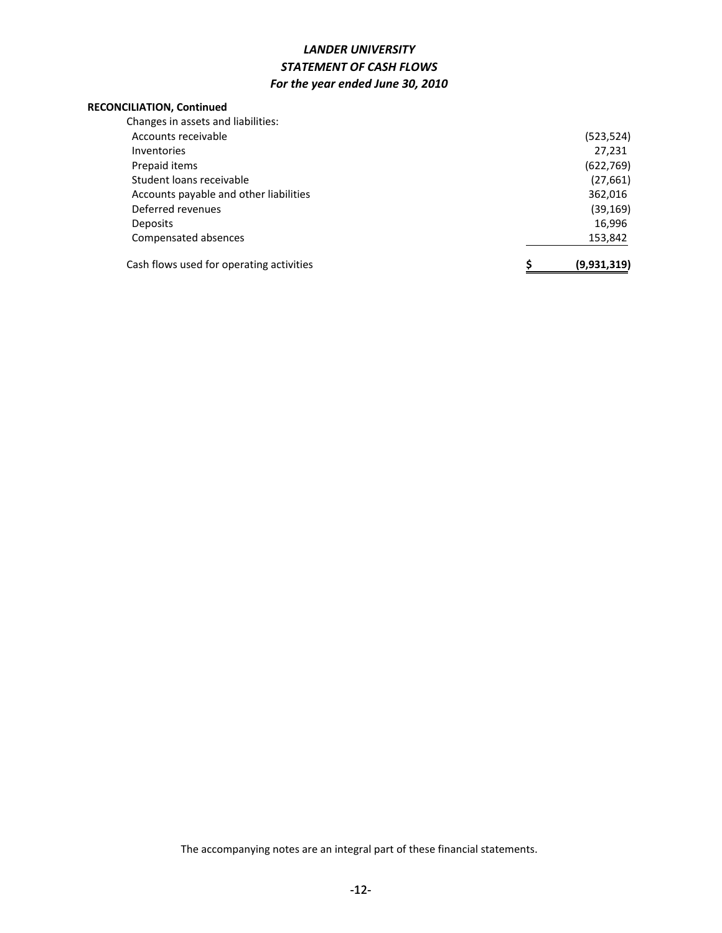## *LANDER UNIVERSITY STATEMENT OF CASH FLOWS For the year ended June 30, 2010*

### **RECONCILIATION, Continued**

| Changes in assets and liabilities:       |             |
|------------------------------------------|-------------|
| Accounts receivable                      | (523, 524)  |
| Inventories                              | 27,231      |
| Prepaid items                            | (622, 769)  |
| Student loans receivable                 | (27, 661)   |
| Accounts payable and other liabilities   | 362,016     |
| Deferred revenues                        | (39, 169)   |
| <b>Deposits</b>                          | 16,996      |
| Compensated absences                     | 153,842     |
| Cash flows used for operating activities | (9,931,319) |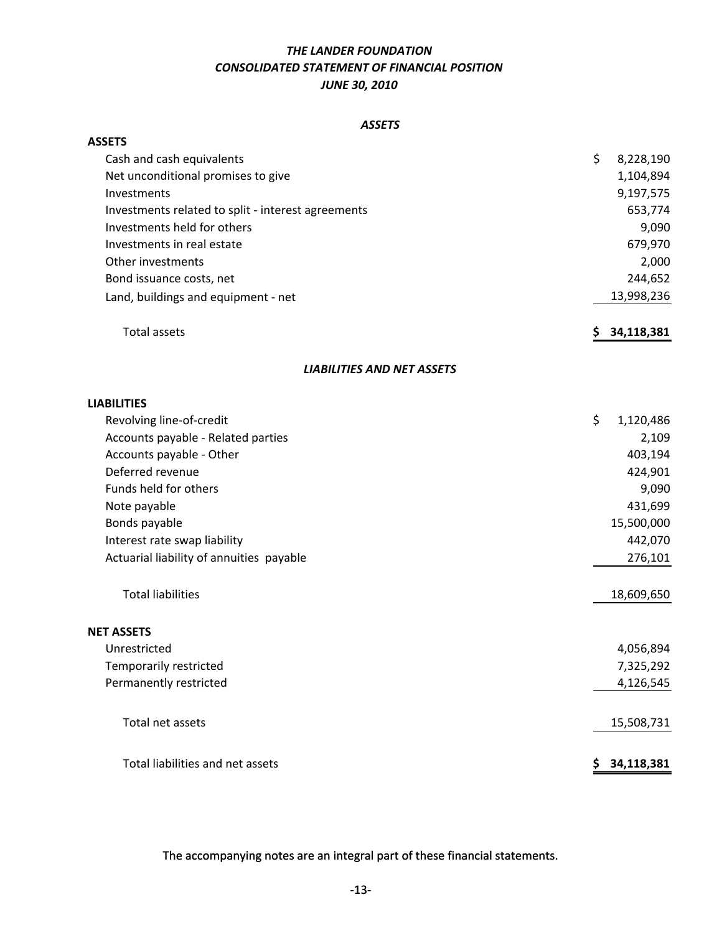## *THE LANDER FOUNDATION CONSOLIDATED STATEMENT OF FINANCIAL POSITION JUNE 30, 2010*

#### *ASSETS*

| <b>ASSETS</b>                                      |    |            |
|----------------------------------------------------|----|------------|
| Cash and cash equivalents                          | \$ | 8,228,190  |
| Net unconditional promises to give                 |    | 1,104,894  |
| Investments                                        |    | 9,197,575  |
| Investments related to split - interest agreements |    | 653,774    |
| Investments held for others                        |    | 9,090      |
| Investments in real estate                         |    | 679,970    |
| Other investments                                  |    | 2,000      |
| Bond issuance costs, net                           |    | 244,652    |
| Land, buildings and equipment - net                |    | 13,998,236 |
| <b>Total assets</b>                                | \$ | 34,118,381 |
| <b>LIABILITIES AND NET ASSETS</b>                  |    |            |
| <b>LIABILITIES</b>                                 |    |            |
| Revolving line-of-credit                           | \$ | 1,120,486  |
| Accounts payable - Related parties                 |    | 2,109      |
| Accounts payable - Other                           |    | 403,194    |
| Deferred revenue                                   |    | 424,901    |
| Funds held for others                              |    | 9,090      |
| Note payable                                       |    | 431,699    |
| Bonds payable                                      |    | 15,500,000 |
| Interest rate swap liability                       |    | 442,070    |
| Actuarial liability of annuities payable           |    | 276,101    |
| <b>Total liabilities</b>                           |    | 18,609,650 |
| <b>NET ASSETS</b>                                  |    |            |
| Unrestricted                                       |    | 4,056,894  |
| Temporarily restricted                             |    | 7,325,292  |
| Permanently restricted                             |    | 4,126,545  |
| Total net assets                                   |    | 15,508,731 |
| Total liabilities and net assets                   | S  | 34,118,381 |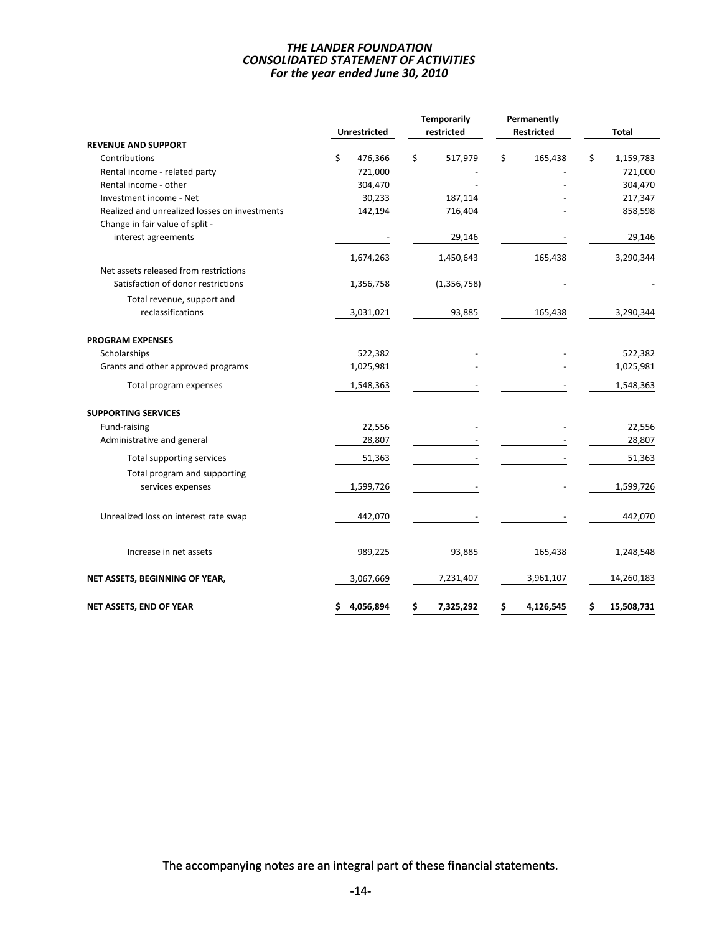#### *THE LANDER FOUNDATION CONSOLIDATED STATEMENT OF ACTIVITIES For the year ended June 30, 2010*

|                                               |    |                     | <b>Temporarily</b> | Permanently       |                  |
|-----------------------------------------------|----|---------------------|--------------------|-------------------|------------------|
|                                               |    | <b>Unrestricted</b> | restricted         | <b>Restricted</b> | Total            |
| <b>REVENUE AND SUPPORT</b>                    |    |                     |                    |                   |                  |
| Contributions                                 | \$ | 476,366             | \$<br>517,979      | \$<br>165,438     | \$<br>1,159,783  |
| Rental income - related party                 |    | 721,000             |                    |                   | 721,000          |
| Rental income - other                         |    | 304,470             |                    |                   | 304,470          |
| Investment income - Net                       |    | 30,233              | 187,114            |                   | 217,347          |
| Realized and unrealized losses on investments |    | 142,194             | 716,404            |                   | 858,598          |
| Change in fair value of split -               |    |                     |                    |                   |                  |
| interest agreements                           |    |                     | 29,146             |                   | 29,146           |
|                                               |    | 1,674,263           | 1,450,643          | 165,438           | 3,290,344        |
| Net assets released from restrictions         |    |                     |                    |                   |                  |
| Satisfaction of donor restrictions            |    | 1,356,758           | (1, 356, 758)      |                   |                  |
| Total revenue, support and                    |    |                     |                    |                   |                  |
| reclassifications                             |    | 3,031,021           | 93,885             | 165,438           | 3,290,344        |
| <b>PROGRAM EXPENSES</b>                       |    |                     |                    |                   |                  |
| Scholarships                                  |    | 522,382             |                    |                   | 522,382          |
| Grants and other approved programs            |    | 1,025,981           |                    |                   | 1,025,981        |
| Total program expenses                        |    | 1,548,363           |                    |                   | 1,548,363        |
| <b>SUPPORTING SERVICES</b>                    |    |                     |                    |                   |                  |
| Fund-raising                                  |    | 22,556              |                    |                   | 22,556           |
| Administrative and general                    |    | 28,807              |                    |                   | 28,807           |
| Total supporting services                     |    | 51,363              |                    |                   | 51,363           |
| Total program and supporting                  |    |                     |                    |                   |                  |
| services expenses                             |    | 1,599,726           |                    |                   | 1,599,726        |
| Unrealized loss on interest rate swap         |    | 442,070             |                    |                   | 442,070          |
|                                               |    |                     |                    |                   |                  |
| Increase in net assets                        |    | 989,225             | 93,885             | 165,438           | 1,248,548        |
| NET ASSETS, BEGINNING OF YEAR,                |    | 3,067,669           | 7,231,407          | 3,961,107         | 14,260,183       |
| NET ASSETS, END OF YEAR                       | S  | 4,056,894           | \$<br>7,325,292    | \$<br>4,126,545   | \$<br>15,508,731 |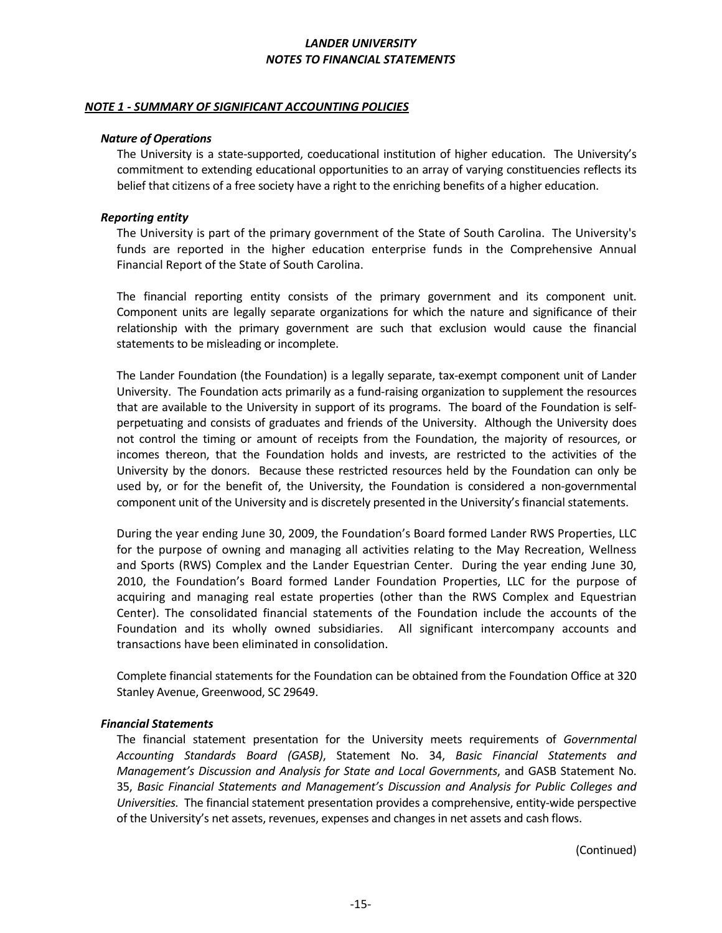### *LANDER UNIVERSITY NOTES TO FINANCIAL STATEMENTS*

#### *NOTE 1 ‐ SUMMARY OF SIGNIFICANT ACCOUNTING POLICIES*

#### *Nature of Operations*

The University is a state‐supported, coeducational institution of higher education. The University's commitment to extending educational opportunities to an array of varying constituencies reflects its belief that citizens of a free society have a right to the enriching benefits of a higher education.

#### *Reporting entity*

The University is part of the primary government of the State of South Carolina. The University's funds are reported in the higher education enterprise funds in the Comprehensive Annual Financial Report of the State of South Carolina.

The financial reporting entity consists of the primary government and its component unit. Component units are legally separate organizations for which the nature and significance of their relationship with the primary government are such that exclusion would cause the financial statements to be misleading or incomplete.

The Lander Foundation (the Foundation) is a legally separate, tax‐exempt component unit of Lander University. The Foundation acts primarily as a fund‐raising organization to supplement the resources that are available to the University in support of its programs. The board of the Foundation is self‐ perpetuating and consists of graduates and friends of the University. Although the University does not control the timing or amount of receipts from the Foundation, the majority of resources, or incomes thereon, that the Foundation holds and invests, are restricted to the activities of the University by the donors. Because these restricted resources held by the Foundation can only be used by, or for the benefit of, the University, the Foundation is considered a non-governmental component unit of the University and is discretely presented in the University'sfinancial statements.

During the year ending June 30, 2009, the Foundation's Board formed Lander RWS Properties, LLC for the purpose of owning and managing all activities relating to the May Recreation, Wellness and Sports (RWS) Complex and the Lander Equestrian Center. During the year ending June 30, 2010, the Foundation's Board formed Lander Foundation Properties, LLC for the purpose of acquiring and managing real estate properties (other than the RWS Complex and Equestrian Center). The consolidated financial statements of the Foundation include the accounts of the Foundation and its wholly owned subsidiaries. All significant intercompany accounts and transactions have been eliminated in consolidation.

Complete financial statements for the Foundation can be obtained from the Foundation Office at 320 Stanley Avenue, Greenwood, SC 29649.

#### *Financial Statements*

The financial statement presentation for the University meets requirements of *Governmental Accounting Standards Board (GASB)*, Statement No. 34, *Basic Financial Statements and Management's Discussion and Analysis for State and Local Governments*, and GASB Statement No. 35, *Basic Financial Statements and Management's Discussion and Analysis for Public Colleges and Universities.* The financial statement presentation provides a comprehensive, entity‐wide perspective of the University's net assets, revenues, expenses and changes in net assets and cash flows.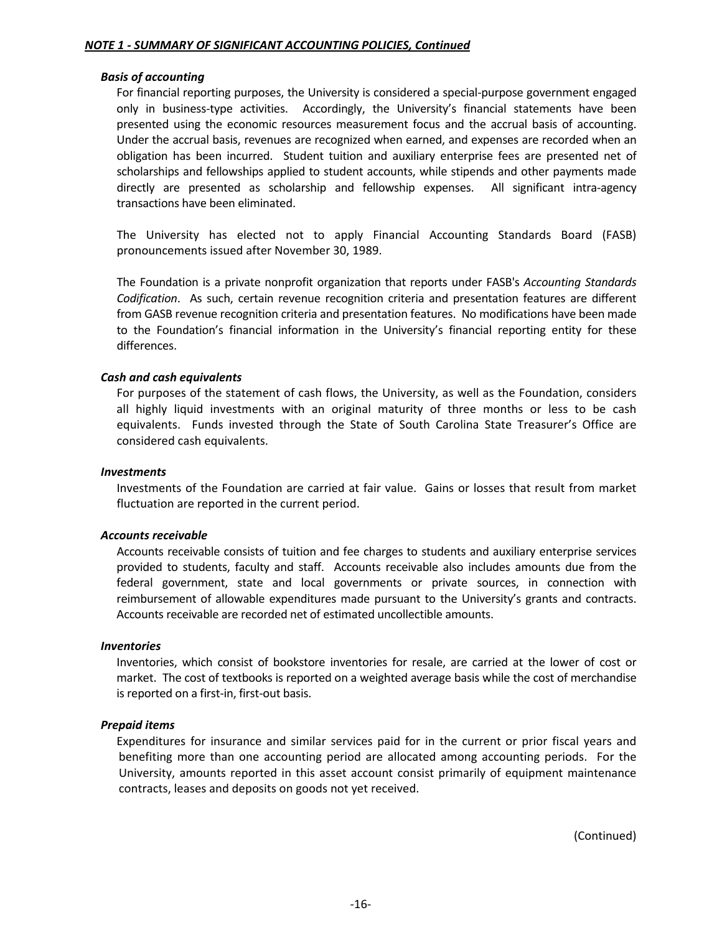#### *Basis of accounting*

For financial reporting purposes, the University is considered a special‐purpose government engaged only in business-type activities. Accordingly, the University's financial statements have been presented using the economic resources measurement focus and the accrual basis of accounting. Under the accrual basis, revenues are recognized when earned, and expenses are recorded when an obligation has been incurred. Student tuition and auxiliary enterprise fees are presented net of scholarships and fellowships applied to student accounts, while stipends and other payments made directly are presented as scholarship and fellowship expenses. All significant intra‐agency transactions have been eliminated.

The University has elected not to apply Financial Accounting Standards Board (FASB) pronouncements issued after November 30, 1989.

The Foundation is a private nonprofit organization that reports under FASB's *Accounting Standards Codification*. As such, certain revenue recognition criteria and presentation features are different from GASB revenue recognition criteria and presentation features. No modifications have been made to the Foundation's financial information in the University's financial reporting entity for these differences.

#### *Cash and cash equivalents*

For purposes of the statement of cash flows, the University, as well as the Foundation, considers all highly liquid investments with an original maturity of three months or less to be cash equivalents. Funds invested through the State of South Carolina State Treasurer's Office are considered cash equivalents.

#### *Investments*

Investments of the Foundation are carried at fair value. Gains or losses that result from market fluctuation are reported in the current period.

#### *Accounts receivable*

Accounts receivable consists of tuition and fee charges to students and auxiliary enterprise services provided to students, faculty and staff. Accounts receivable also includes amounts due from the federal government, state and local governments or private sources, in connection with reimbursement of allowable expenditures made pursuant to the University's grants and contracts. Accounts receivable are recorded net of estimated uncollectible amounts.

#### *Inventories*

Inventories, which consist of bookstore inventories for resale, are carried at the lower of cost or market. The cost of textbooks is reported on a weighted average basis while the cost of merchandise is reported on a first‐in, first‐out basis.

#### *Prepaid items*

Expenditures for insurance and similar services paid for in the current or prior fiscal years and benefiting more than one accounting period are allocated among accounting periods. For the University, amounts reported in this asset account consist primarily of equipment maintenance contracts, leases and deposits on goods not yet received.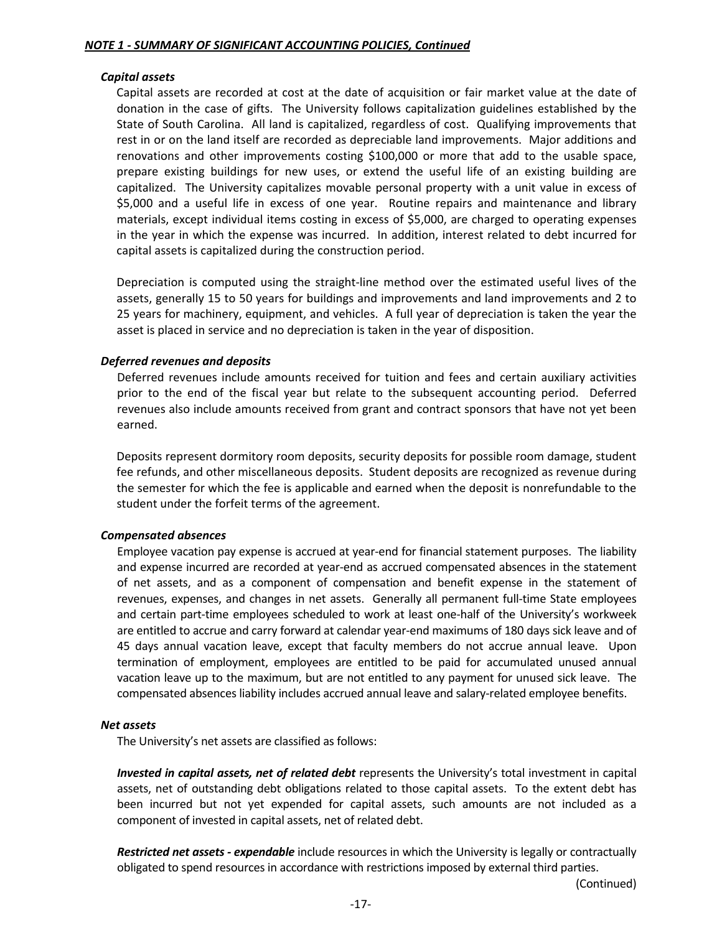### *Capital assets*

Capital assets are recorded at cost at the date of acquisition or fair market value at the date of donation in the case of gifts. The University follows capitalization guidelines established by the State of South Carolina. All land is capitalized, regardless of cost. Qualifying improvements that rest in or on the land itself are recorded as depreciable land improvements. Major additions and renovations and other improvements costing \$100,000 or more that add to the usable space, prepare existing buildings for new uses, or extend the useful life of an existing building are capitalized. The University capitalizes movable personal property with a unit value in excess of \$5,000 and a useful life in excess of one year. Routine repairs and maintenance and library materials, except individual items costing in excess of \$5,000, are charged to operating expenses in the year in which the expense was incurred. In addition, interest related to debt incurred for capital assets is capitalized during the construction period.

Depreciation is computed using the straight‐line method over the estimated useful lives of the assets, generally 15 to 50 years for buildings and improvements and land improvements and 2 to 25 years for machinery, equipment, and vehicles. A full year of depreciation is taken the year the asset is placed in service and no depreciation is taken in the year of disposition.

### *Deferred revenues and deposits*

Deferred revenues include amounts received for tuition and fees and certain auxiliary activities prior to the end of the fiscal year but relate to the subsequent accounting period. Deferred revenues also include amounts received from grant and contract sponsors that have not yet been earned.

Deposits represent dormitory room deposits, security deposits for possible room damage, student fee refunds, and other miscellaneous deposits. Student deposits are recognized as revenue during the semester for which the fee is applicable and earned when the deposit is nonrefundable to the student under the forfeit terms of the agreement.

### *Compensated absences*

Employee vacation pay expense is accrued at year-end for financial statement purposes. The liability and expense incurred are recorded at year‐end as accrued compensated absences in the statement of net assets, and as a component of compensation and benefit expense in the statement of revenues, expenses, and changes in net assets. Generally all permanent full-time State employees and certain part-time employees scheduled to work at least one-half of the University's workweek are entitled to accrue and carry forward at calendar year-end maximums of 180 days sick leave and of 45 days annual vacation leave, except that faculty members do not accrue annual leave. Upon termination of employment, employees are entitled to be paid for accumulated unused annual vacation leave up to the maximum, but are not entitled to any payment for unused sick leave. The compensated absences liability includes accrued annual leave and salary-related employee benefits.

#### *Net assets*

The University's net assets are classified as follows:

*Invested in capital assets, net of related debt* represents the University's total investment in capital assets, net of outstanding debt obligations related to those capital assets. To the extent debt has been incurred but not yet expended for capital assets, such amounts are not included as a component of invested in capital assets, net of related debt.

*Restricted net assets ‐ expendable* include resources in which the University is legally or contractually obligated to spend resources in accordance with restrictions imposed by external third parties.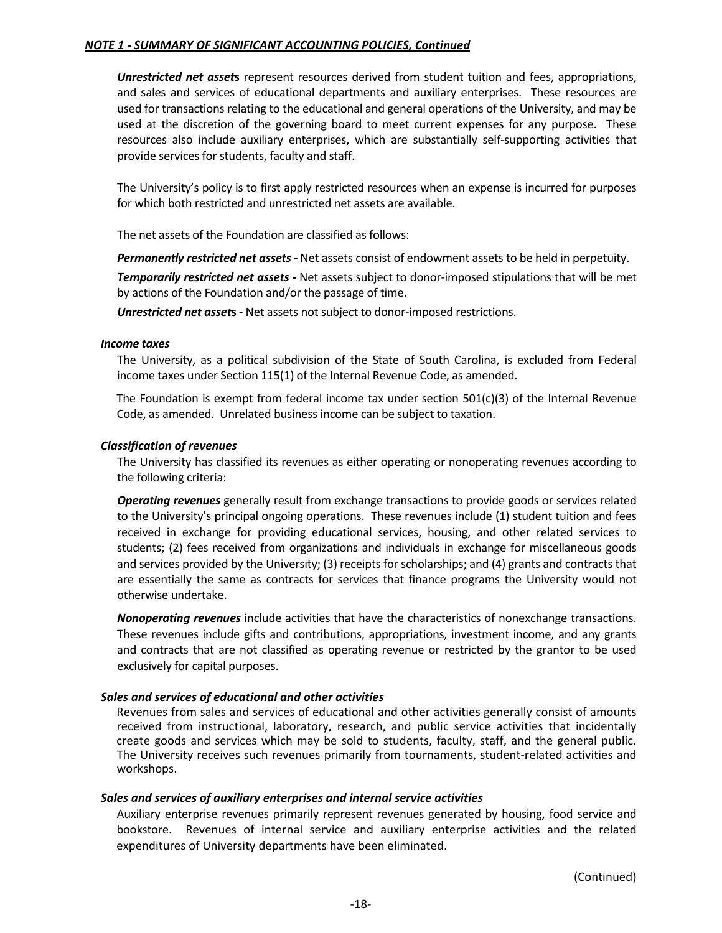### *NOTE 1 ‐ SUMMARY OF SIGNIFICANT ACCOUNTING POLICIES, Continued*

*Unrestricted net asset***s** represent resources derived from student tuition and fees, appropriations, and sales and services of educational departments and auxiliary enterprises. These resources are used for transactions relating to the educational and general operations of the University, and may be used at the discretion of the governing board to meet current expenses for any purpose. These resources also include auxiliary enterprises, which are substantially self‐supporting activities that provide services for students, faculty and staff.

The University's policy is to first apply restricted resources when an expense is incurred for purposes for which both restricted and unrestricted net assets are available.

The net assets of the Foundation are classified as follows:

*Permanently restricted net assets ‐* Net assets consist of endowment assets to be held in perpetuity.

*Temporarily restricted net assets ‐* Net assets subject to donor‐imposed stipulations that will be met by actions of the Foundation and/or the passage of time.

*Unrestricted net asset***s ‐** Net assets not subject to donor‐imposed restrictions.

#### *Income taxes*

The University, as a political subdivision of the State of South Carolina, is excluded from Federal income taxes under Section 115(1) of the Internal Revenue Code, as amended.

The Foundation is exempt from federal income tax under section  $501(c)(3)$  of the Internal Revenue Code, as amended. Unrelated business income can be subject to taxation.

### *Classification of revenues*

The University has classified its revenues as either operating or nonoperating revenues according to the following criteria:

*Operating revenues* generally result from exchange transactions to provide goods or services related to the University's principal ongoing operations. These revenues include (1) student tuition and fees received in exchange for providing educational services, housing, and other related services to students; (2) fees received from organizations and individuals in exchange for miscellaneous goods and services provided by the University; (3) receipts for scholarships; and (4) grants and contracts that are essentially the same as contracts for services that finance programs the University would not otherwise undertake.

*Nonoperating revenues* include activities that have the characteristics of nonexchange transactions. These revenues include gifts and contributions, appropriations, investment income, and any grants and contracts that are not classified as operating revenue or restricted by the grantor to be used exclusively for capital purposes.

### *Sales and services of educational and other activities*

Revenues from sales and services of educational and other activities generally consist of amounts received from instructional, laboratory, research, and public service activities that incidentally create goods and services which may be sold to students, faculty, staff, and the general public. The University receives such revenues primarily from tournaments, student-related activities and workshops.

### *Sales and services of auxiliary enterprises and internal service activities*

Auxiliary enterprise revenues primarily represent revenues generated by housing, food service and bookstore. Revenues of internal service and auxiliary enterprise activities and the related expenditures of University departments have been eliminated.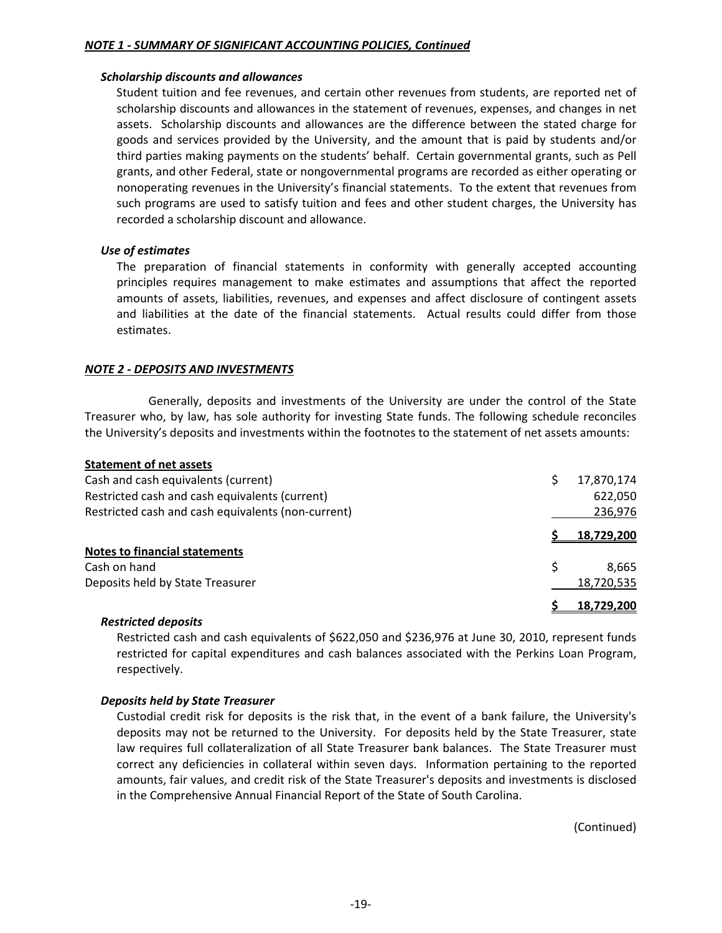### *NOTE 1 ‐ SUMMARY OF SIGNIFICANT ACCOUNTING POLICIES, Continued*

### *Scholarship discounts and allowances*

Student tuition and fee revenues, and certain other revenues from students, are reported net of scholarship discounts and allowances in the statement of revenues, expenses, and changes in net assets. Scholarship discounts and allowances are the difference between the stated charge for goods and services provided by the University, and the amount that is paid by students and/or third parties making payments on the students' behalf. Certain governmental grants, such as Pell grants, and other Federal, state or nongovernmental programs are recorded as either operating or nonoperating revenues in the University's financial statements. To the extent that revenues from such programs are used to satisfy tuition and fees and other student charges, the University has recorded a scholarship discount and allowance.

### *Use of estimates*

The preparation of financial statements in conformity with generally accepted accounting principles requires management to make estimates and assumptions that affect the reported amounts of assets, liabilities, revenues, and expenses and affect disclosure of contingent assets and liabilities at the date of the financial statements. Actual results could differ from those estimates.

### *NOTE 2 ‐ DEPOSITS AND INVESTMENTS*

 Generally, deposits and investments of the University are under the control of the State Treasurer who, by law, has sole authority for investing State funds. The following schedule reconciles the University's deposits and investments within the footnotes to the statement of net assets amounts:

#### **Statement of net assets**

| Cash and cash equivalents (current)                | 17,870,174 |
|----------------------------------------------------|------------|
| Restricted cash and cash equivalents (current)     | 622,050    |
| Restricted cash and cash equivalents (non-current) | 236,976    |
|                                                    | 18,729,200 |
| <b>Notes to financial statements</b>               |            |
| Cash on hand                                       | 8.665      |
| Deposits held by State Treasurer                   | 18,720,535 |
|                                                    | 18,729,200 |

#### *Restricted deposits*

Restricted cash and cash equivalents of \$622,050 and \$236,976 at June 30, 2010, represent funds restricted for capital expenditures and cash balances associated with the Perkins Loan Program, respectively.

#### *Deposits held by State Treasurer*

Custodial credit risk for deposits is the risk that, in the event of a bank failure, the University's deposits may not be returned to the University. For deposits held by the State Treasurer, state law requires full collateralization of all State Treasurer bank balances. The State Treasurer must correct any deficiencies in collateral within seven days. Information pertaining to the reported amounts, fair values, and credit risk of the State Treasurer's deposits and investments is disclosed in the Comprehensive Annual Financial Report of the State of South Carolina.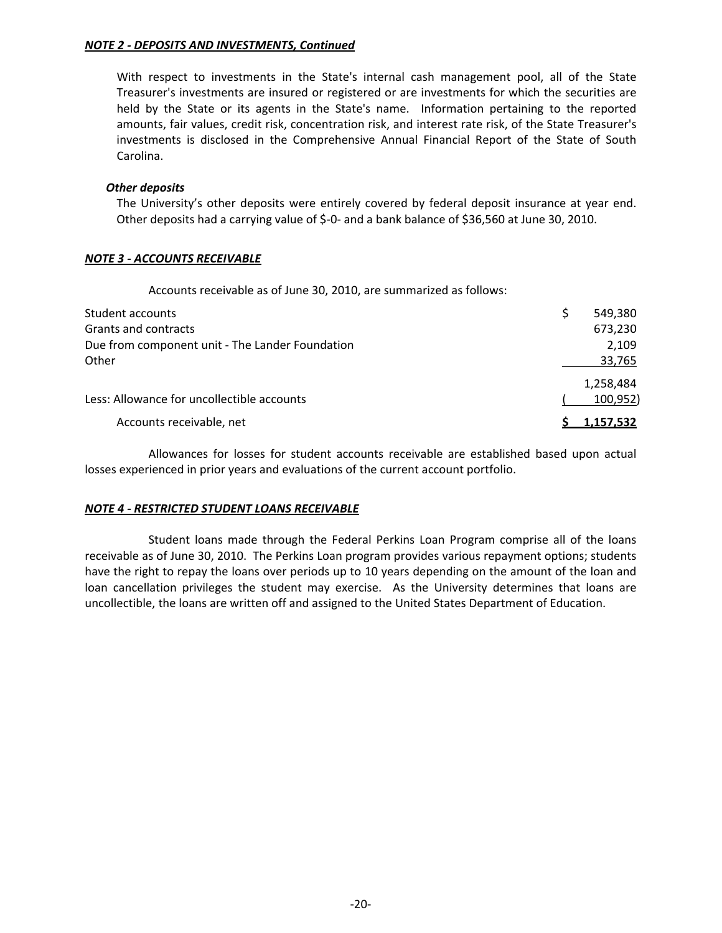### *NOTE 2 ‐ DEPOSITS AND INVESTMENTS, Continued*

With respect to investments in the State's internal cash management pool, all of the State Treasurer's investments are insured or registered or are investments for which the securities are held by the State or its agents in the State's name. Information pertaining to the reported amounts, fair values, credit risk, concentration risk, and interest rate risk, of the State Treasurer's investments is disclosed in the Comprehensive Annual Financial Report of the State of South Carolina.

### *Other deposits*

The University's other deposits were entirely covered by federal deposit insurance at year end. Other deposits had a carrying value of \$‐0‐ and a bank balance of \$36,560 at June 30, 2010.

## *NOTE 3 ‐ ACCOUNTS RECEIVABLE*

Accounts receivable as of June 30, 2010, are summarized as follows:

| Student accounts                                | 549.380   |
|-------------------------------------------------|-----------|
| Grants and contracts                            | 673,230   |
| Due from component unit - The Lander Foundation | 2,109     |
| Other                                           | 33,765    |
|                                                 | 1,258,484 |
| Less: Allowance for uncollectible accounts      | 100,952)  |
| Accounts receivable, net                        | 1,157,532 |

 Allowances for losses for student accounts receivable are established based upon actual losses experienced in prior years and evaluations of the current account portfolio.

### *NOTE 4 ‐ RESTRICTED STUDENT LOANS RECEIVABLE*

 Student loans made through the Federal Perkins Loan Program comprise all of the loans receivable as of June 30, 2010. The Perkins Loan program provides various repayment options; students have the right to repay the loans over periods up to 10 years depending on the amount of the loan and loan cancellation privileges the student may exercise. As the University determines that loans are uncollectible, the loans are written off and assigned to the United States Department of Education.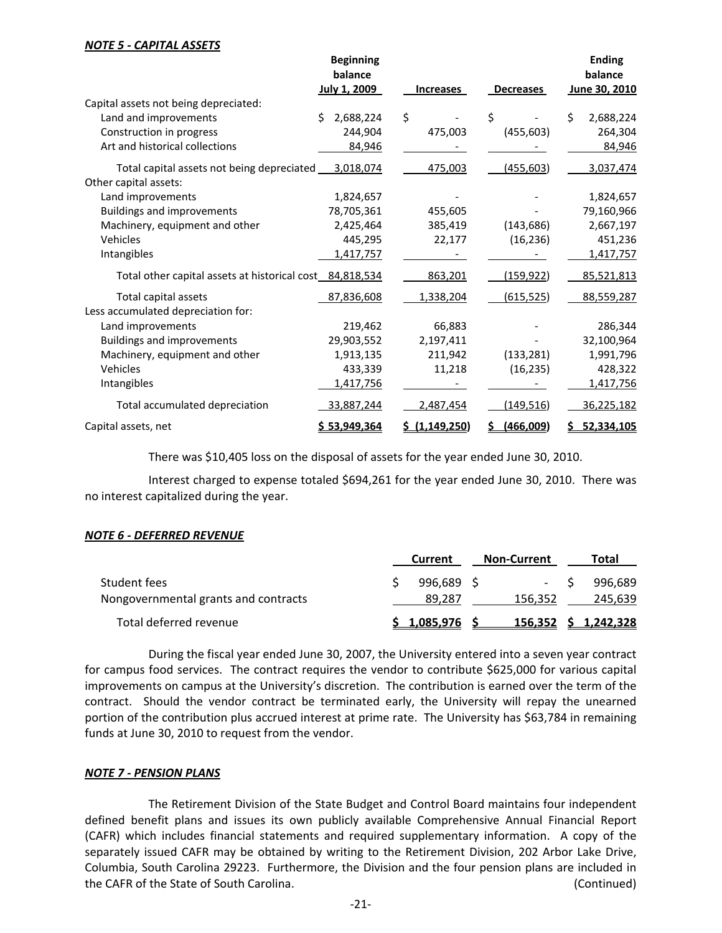### *NOTE 5 ‐ CAPITAL ASSETS*

|                                                          | <b>Beginning</b>    |               |                  | <b>Ending</b>   |
|----------------------------------------------------------|---------------------|---------------|------------------|-----------------|
|                                                          | balance             |               |                  | balance         |
|                                                          | July 1, 2009        | Increases     | <b>Decreases</b> | June 30, 2010   |
| Capital assets not being depreciated:                    |                     |               |                  |                 |
| Land and improvements                                    | Ś<br>2,688,224      | \$            | \$               | \$<br>2,688,224 |
| Construction in progress                                 | 244,904             | 475,003       | (455, 603)       | 264,304         |
| Art and historical collections                           | 84,946              |               |                  | 84,946          |
| Total capital assets not being depreciated               | 3,018,074           | 475,003       | (455, 603)       | 3,037,474       |
| Other capital assets:                                    |                     |               |                  |                 |
| Land improvements                                        | 1,824,657           |               |                  | 1,824,657       |
| <b>Buildings and improvements</b>                        | 78,705,361          | 455,605       |                  | 79,160,966      |
| Machinery, equipment and other                           | 2,425,464           | 385,419       | (143, 686)       | 2,667,197       |
| Vehicles                                                 | 445,295             | 22,177        | (16, 236)        | 451,236         |
| Intangibles                                              | 1,417,757           |               |                  | 1,417,757       |
| Total other capital assets at historical cost 84,818,534 |                     | 863,201       | (159,922)        | 85,521,813      |
| Total capital assets                                     | 87,836,608          | 1,338,204     | (615, 525)       | 88,559,287      |
| Less accumulated depreciation for:                       |                     |               |                  |                 |
| Land improvements                                        | 219,462             | 66,883        |                  | 286,344         |
| <b>Buildings and improvements</b>                        | 29,903,552          | 2,197,411     |                  | 32,100,964      |
| Machinery, equipment and other                           | 1,913,135           | 211,942       | (133, 281)       | 1,991,796       |
| Vehicles                                                 | 433,339             | 11,218        | (16, 235)        | 428,322         |
| Intangibles                                              | 1,417,756           |               |                  | 1,417,756       |
| Total accumulated depreciation                           | 33,887,244          | 2,487,454     | (149,516)        | 36,225,182      |
| Capital assets, net                                      | <u>\$53,949,364</u> | (1, 149, 250) | <u>(466,009)</u> | 52,334,105      |

There was \$10,405 loss on the disposal of assets for the year ended June 30, 2010.

 Interest charged to expense totaled \$694,261 for the year ended June 30, 2010. There was no interest capitalized during the year.

#### *NOTE 6 ‐ DEFERRED REVENUE*

|                                      | Current     | <b>Non-Current</b> |         |  | Total                |
|--------------------------------------|-------------|--------------------|---------|--|----------------------|
| Student fees                         | 996.689 S   |                    | $- S$   |  | 996.689              |
| Nongovernmental grants and contracts | 89.287      |                    | 156,352 |  | 245,639              |
| Total deferred revenue               | S 1.085.976 |                    |         |  | 156,352 \$ 1,242,328 |

 During the fiscal year ended June 30, 2007, the University entered into a seven year contract for campus food services. The contract requires the vendor to contribute \$625,000 for various capital improvements on campus at the University's discretion. The contribution is earned over the term of the contract. Should the vendor contract be terminated early, the University will repay the unearned portion of the contribution plus accrued interest at prime rate. The University has \$63,784 in remaining funds at June 30, 2010 to request from the vendor.

#### *NOTE 7 ‐ PENSION PLANS*

 The Retirement Division of the State Budget and Control Board maintains four independent defined benefit plans and issues its own publicly available Comprehensive Annual Financial Report (CAFR) which includes financial statements and required supplementary information. A copy of the separately issued CAFR may be obtained by writing to the Retirement Division, 202 Arbor Lake Drive, Columbia, South Carolina 29223. Furthermore, the Division and the four pension plans are included in the CAFR of the State of South Carolina.  (Continued)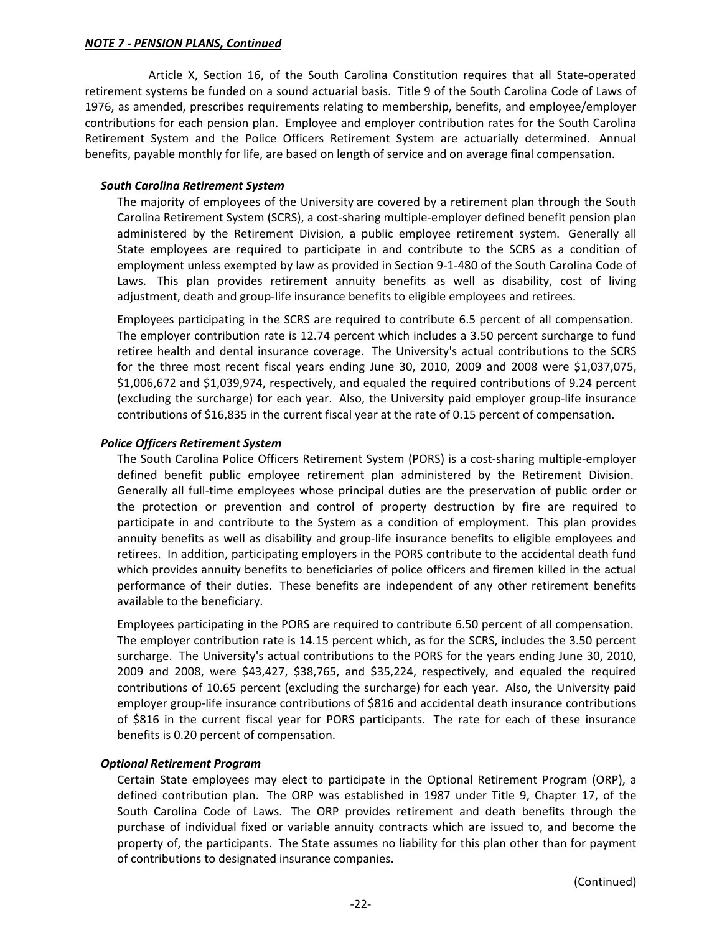### *NOTE 7 ‐ PENSION PLANS, Continued*

 Article X, Section 16, of the South Carolina Constitution requires that all State‐operated retirement systems be funded on a sound actuarial basis. Title 9 of the South Carolina Code of Laws of 1976, as amended, prescribes requirements relating to membership, benefits, and employee/employer contributions for each pension plan. Employee and employer contribution rates for the South Carolina Retirement System and the Police Officers Retirement System are actuarially determined. Annual benefits, payable monthly for life, are based on length of service and on average final compensation.

### *South Carolina Retirement System*

The majority of employees of the University are covered by a retirement plan through the South Carolina Retirement System (SCRS), a cost‐sharing multiple‐employer defined benefit pension plan administered by the Retirement Division, a public employee retirement system. Generally all State employees are required to participate in and contribute to the SCRS as a condition of employment unless exempted by law as provided in Section 9‐1‐480 of the South Carolina Code of Laws. This plan provides retirement annuity benefits as well as disability, cost of living adjustment, death and group‐life insurance benefits to eligible employees and retirees.

Employees participating in the SCRS are required to contribute 6.5 percent of all compensation. The employer contribution rate is 12.74 percent which includes a 3.50 percent surcharge to fund retiree health and dental insurance coverage. The University's actual contributions to the SCRS for the three most recent fiscal years ending June 30, 2010, 2009 and 2008 were \$1,037,075, \$1,006,672 and \$1,039,974, respectively, and equaled the required contributions of 9.24 percent (excluding the surcharge) for each year. Also, the University paid employer group‐life insurance contributions of \$16,835 in the current fiscal year at the rate of 0.15 percent of compensation.

## *Police Officers Retirement System*

The South Carolina Police Officers Retirement System (PORS) is a cost-sharing multiple-employer defined benefit public employee retirement plan administered by the Retirement Division. Generally all full‐time employees whose principal duties are the preservation of public order or the protection or prevention and control of property destruction by fire are required to participate in and contribute to the System as a condition of employment. This plan provides annuity benefits as well as disability and group-life insurance benefits to eligible employees and retirees. In addition, participating employers in the PORS contribute to the accidental death fund which provides annuity benefits to beneficiaries of police officers and firemen killed in the actual performance of their duties. These benefits are independent of any other retirement benefits available to the beneficiary.

Employees participating in the PORS are required to contribute 6.50 percent of all compensation. The employer contribution rate is 14.15 percent which, as for the SCRS, includes the 3.50 percent surcharge. The University's actual contributions to the PORS for the years ending June 30, 2010, 2009 and 2008, were \$43,427, \$38,765, and \$35,224, respectively, and equaled the required contributions of 10.65 percent (excluding the surcharge) for each year. Also, the University paid employer group‐life insurance contributions of \$816 and accidental death insurance contributions of \$816 in the current fiscal year for PORS participants. The rate for each of these insurance benefits is 0.20 percent of compensation.

### *Optional Retirement Program*

Certain State employees may elect to participate in the Optional Retirement Program (ORP), a defined contribution plan. The ORP was established in 1987 under Title 9, Chapter 17, of the South Carolina Code of Laws. The ORP provides retirement and death benefits through the purchase of individual fixed or variable annuity contracts which are issued to, and become the property of, the participants. The State assumes no liability for this plan other than for payment of contributions to designated insurance companies.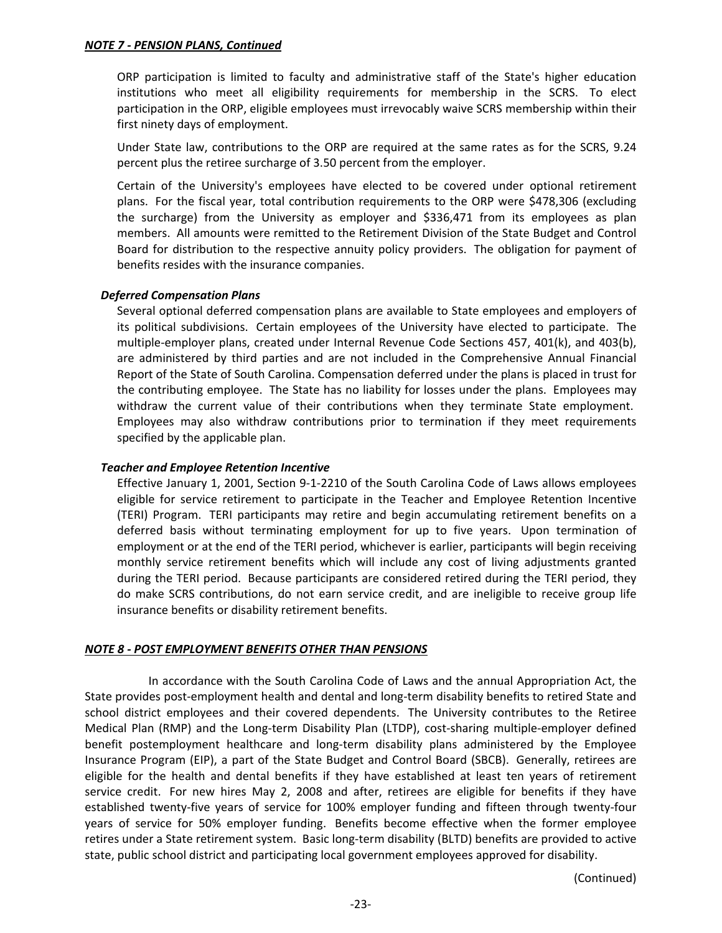### *NOTE 7 ‐ PENSION PLANS, Continued*

ORP participation is limited to faculty and administrative staff of the State's higher education institutions who meet all eligibility requirements for membership in the SCRS. To elect participation in the ORP, eligible employees must irrevocably waive SCRS membership within their first ninety days of employment.

Under State law, contributions to the ORP are required at the same rates as for the SCRS, 9.24 percent plus the retiree surcharge of 3.50 percent from the employer.

Certain of the University's employees have elected to be covered under optional retirement plans. For the fiscal year, total contribution requirements to the ORP were \$478,306 (excluding the surcharge) from the University as employer and \$336,471 from its employees as plan members. All amounts were remitted to the Retirement Division of the State Budget and Control Board for distribution to the respective annuity policy providers. The obligation for payment of benefits resides with the insurance companies.

#### *Deferred Compensation Plans*

Several optional deferred compensation plans are available to State employees and employers of its political subdivisions. Certain employees of the University have elected to participate. The multiple-employer plans, created under Internal Revenue Code Sections 457, 401(k), and 403(b), are administered by third parties and are not included in the Comprehensive Annual Financial Report of the State of South Carolina. Compensation deferred under the plans is placed in trust for the contributing employee. The State has no liability for losses under the plans. Employees may withdraw the current value of their contributions when they terminate State employment. Employees may also withdraw contributions prior to termination if they meet requirements specified by the applicable plan.

#### *Teacher and Employee Retention Incentive*

Effective January 1, 2001, Section 9‐1‐2210 of the South Carolina Code of Laws allows employees eligible for service retirement to participate in the Teacher and Employee Retention Incentive (TERI) Program. TERI participants may retire and begin accumulating retirement benefits on a deferred basis without terminating employment for up to five years. Upon termination of employment or at the end of the TERI period, whichever is earlier, participants will begin receiving monthly service retirement benefits which will include any cost of living adjustments granted during the TERI period. Because participants are considered retired during the TERI period, they do make SCRS contributions, do not earn service credit, and are ineligible to receive group life insurance benefits or disability retirement benefits.

#### *NOTE 8 ‐ POST EMPLOYMENT BENEFITS OTHER THAN PENSIONS*

 In accordance with the South Carolina Code of Laws and the annual Appropriation Act, the State provides post‐employment health and dental and long‐term disability benefits to retired State and school district employees and their covered dependents. The University contributes to the Retiree Medical Plan (RMP) and the Long-term Disability Plan (LTDP), cost-sharing multiple-employer defined benefit postemployment healthcare and long‐term disability plans administered by the Employee Insurance Program (EIP), a part of the State Budget and Control Board (SBCB). Generally, retirees are eligible for the health and dental benefits if they have established at least ten years of retirement service credit. For new hires May 2, 2008 and after, retirees are eligible for benefits if they have established twenty‐five years of service for 100% employer funding and fifteen through twenty‐four years of service for 50% employer funding. Benefits become effective when the former employee retires under a State retirement system. Basic long‐term disability (BLTD) benefits are provided to active state, public school district and participating local government employees approved for disability.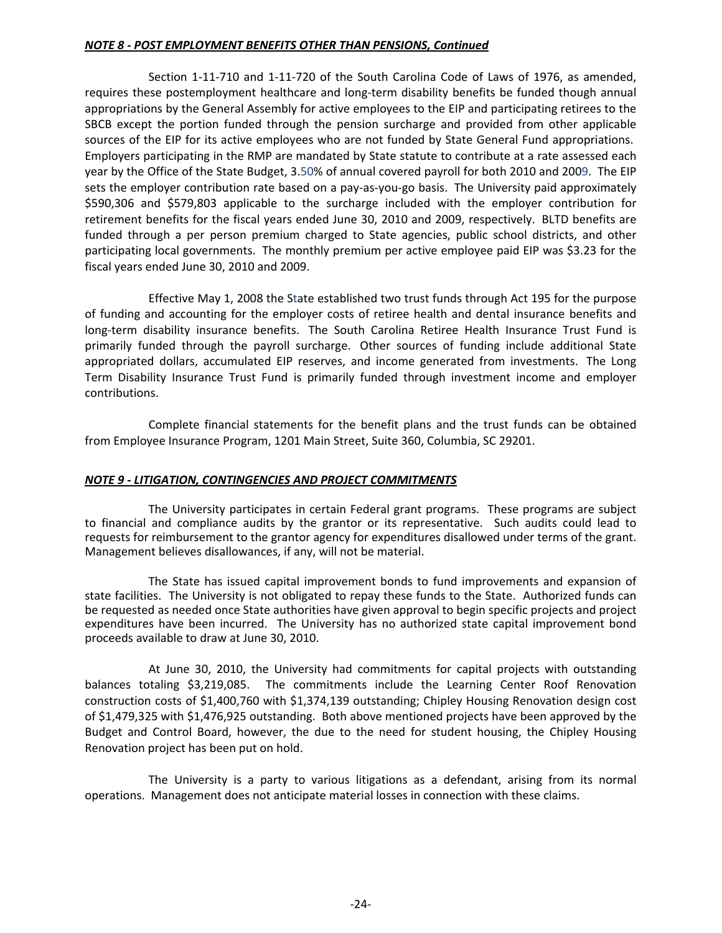### *NOTE 8 ‐ POST EMPLOYMENT BENEFITS OTHER THAN PENSIONS, Continued*

 Section 1‐11‐710 and 1‐11‐720 of the South Carolina Code of Laws of 1976, as amended, requires these postemployment healthcare and long-term disability benefits be funded though annual appropriations by the General Assembly for active employees to the EIP and participating retirees to the SBCB except the portion funded through the pension surcharge and provided from other applicable sources of the EIP for its active employees who are not funded by State General Fund appropriations. Employers participating in the RMP are mandated by State statute to contribute at a rate assessed each year by the Office of the State Budget, 3.50% of annual covered payroll for both 2010 and 2009. The EIP sets the employer contribution rate based on a pay-as-you-go basis. The University paid approximately \$590,306 and \$579,803 applicable to the surcharge included with the employer contribution for retirement benefits for the fiscal years ended June 30, 2010 and 2009, respectively. BLTD benefits are funded through a per person premium charged to State agencies, public school districts, and other participating local governments. The monthly premium per active employee paid EIP was \$3.23 for the fiscal years ended June 30, 2010 and 2009.

 Effective May 1, 2008 the State established two trust funds through Act 195 for the purpose of funding and accounting for the employer costs of retiree health and dental insurance benefits and long-term disability insurance benefits. The South Carolina Retiree Health Insurance Trust Fund is primarily funded through the payroll surcharge. Other sources of funding include additional State appropriated dollars, accumulated EIP reserves, and income generated from investments. The Long Term Disability Insurance Trust Fund is primarily funded through investment income and employer contributions.

 Complete financial statements for the benefit plans and the trust funds can be obtained from Employee Insurance Program, 1201 Main Street, Suite 360, Columbia, SC 29201.

#### *NOTE 9 ‐ LITIGATION, CONTINGENCIES AND PROJECT COMMITMENTS*

 The University participates in certain Federal grant programs. These programs are subject to financial and compliance audits by the grantor or its representative. Such audits could lead to requests for reimbursement to the grantor agency for expenditures disallowed under terms of the grant. Management believes disallowances, if any, will not be material.

 The State has issued capital improvement bonds to fund improvements and expansion of state facilities. The University is not obligated to repay these funds to the State. Authorized funds can be requested as needed once State authorities have given approval to begin specific projects and project expenditures have been incurred. The University has no authorized state capital improvement bond proceeds available to draw at June 30, 2010.

 At June 30, 2010, the University had commitments for capital projects with outstanding balances totaling \$3,219,085. The commitments include the Learning Center Roof Renovation construction costs of \$1,400,760 with \$1,374,139 outstanding; Chipley Housing Renovation design cost of \$1,479,325 with \$1,476,925 outstanding. Both above mentioned projects have been approved by the Budget and Control Board, however, the due to the need for student housing, the Chipley Housing Renovation project has been put on hold.

 The University is a party to various litigations as a defendant, arising from its normal operations. Management does not anticipate material losses in connection with these claims.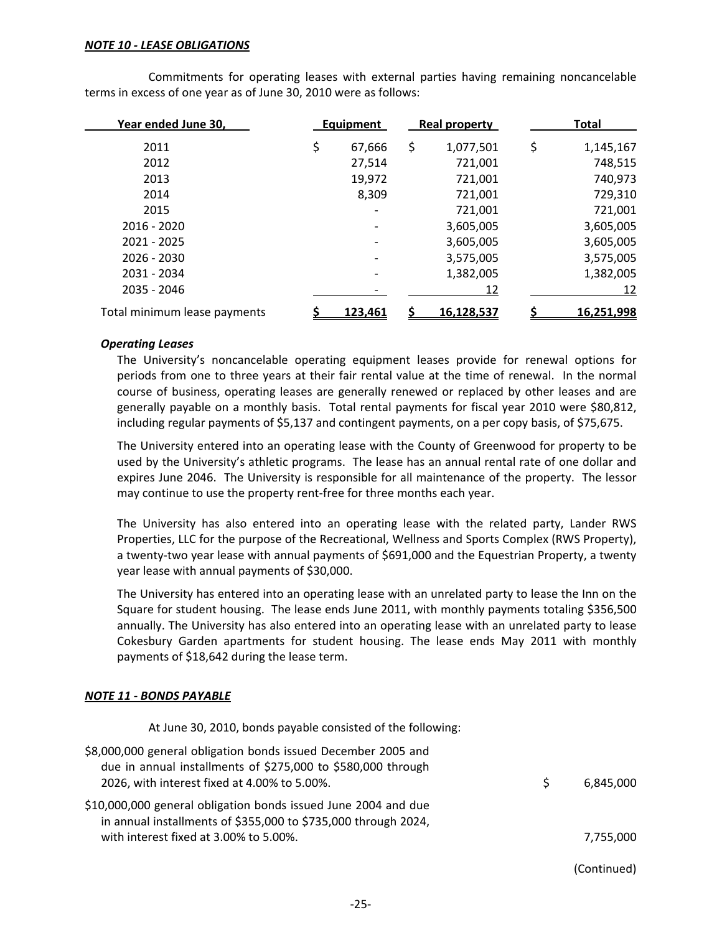### *NOTE 10 ‐ LEASE OBLIGATIONS*

| Equipment |        |                 |                      | <b>Total</b> |
|-----------|--------|-----------------|----------------------|--------------|
| \$        | 67,666 | \$<br>1,077,501 | \$                   | 1,145,167    |
|           | 27,514 | 721,001         |                      | 748,515      |
|           | 19,972 | 721,001         |                      | 740,973      |
|           | 8,309  | 721,001         |                      | 729,310      |
|           |        | 721,001         |                      | 721,001      |
|           |        | 3,605,005       |                      | 3,605,005    |
|           |        | 3,605,005       |                      | 3,605,005    |
|           |        | 3,575,005       |                      | 3,575,005    |
|           |        | 1,382,005       |                      | 1,382,005    |
|           |        | 12              |                      | 12           |
|           |        |                 | <b>Real property</b> |              |

 Commitments for operating leases with external parties having remaining noncancelable terms in excess of one year as of June 30, 2010 were as follows:

#### *Operating Leases*

The University's noncancelable operating equipment leases provide for renewal options for periods from one to three years at their fair rental value at the time of renewal. In the normal course of business, operating leases are generally renewed or replaced by other leases and are generally payable on a monthly basis. Total rental payments for fiscal year 2010 were \$80,812, including regular payments of \$5,137 and contingent payments, on a per copy basis, of \$75,675.

Total minimum lease payments **\$ 123,461 \$ 16,128,537 \$ 16,251,998**

The University entered into an operating lease with the County of Greenwood for property to be used by the University's athletic programs. The lease has an annual rental rate of one dollar and expires June 2046. The University is responsible for all maintenance of the property. The lessor may continue to use the property rent-free for three months each year.

The University has also entered into an operating lease with the related party, Lander RWS Properties, LLC for the purpose of the Recreational, Wellness and Sports Complex (RWS Property), a twenty‐two year lease with annual payments of \$691,000 and the Equestrian Property, a twenty year lease with annual payments of \$30,000.

The University has entered into an operating lease with an unrelated party to lease the Inn on the Square for student housing. The lease ends June 2011, with monthly payments totaling \$356,500 annually. The University has also entered into an operating lease with an unrelated party to lease Cokesbury Garden apartments for student housing. The lease ends May 2011 with monthly payments of \$18,642 during the lease term.

#### *NOTE 11 ‐ BONDS PAYABLE*

At June 30, 2010, bonds payable consisted of the following:

| \$8,000,000 general obligation bonds issued December 2005 and<br>due in annual installments of \$275,000 to \$580,000 through<br>2026, with interest fixed at 4.00% to 5.00%. | S | 6.845.000   |
|-------------------------------------------------------------------------------------------------------------------------------------------------------------------------------|---|-------------|
| \$10,000,000 general obligation bonds issued June 2004 and due<br>in annual installments of \$355,000 to \$735,000 through 2024,                                              |   |             |
| with interest fixed at 3.00% to 5.00%.                                                                                                                                        |   | 7,755,000   |
|                                                                                                                                                                               |   | (Continued) |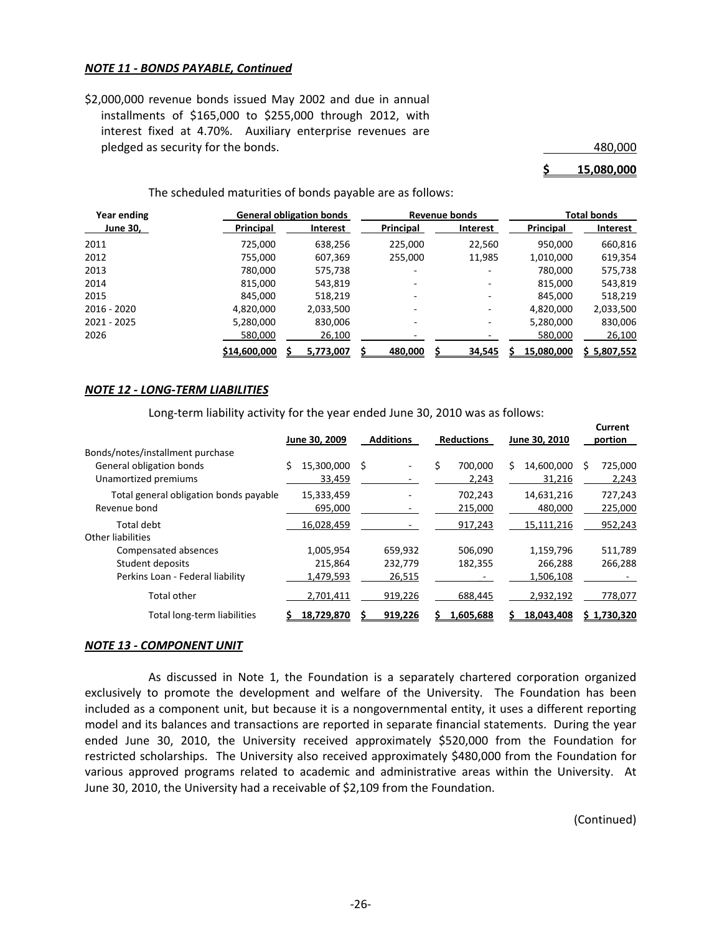#### *NOTE 11 ‐ BONDS PAYABLE, Continued*

\$2,000,000 revenue bonds issued May 2002 and due in annual installments of \$165,000 to \$255,000 through 2012, with interest fixed at 4.70%. Auxiliary enterprise revenues are pledged as security for the bonds.  $480,000$ 

**\$ 15,080,000**

| Year ending     |              | <b>General obligation bonds</b> |           | <b>Revenue bonds</b> | <b>Total bonds</b> |             |  |  |
|-----------------|--------------|---------------------------------|-----------|----------------------|--------------------|-------------|--|--|
| <b>June 30,</b> | Principal    | Interest                        | Principal | Interest             | Principal          | Interest    |  |  |
| 2011            | 725,000      | 638,256                         | 225,000   | 22,560               | 950,000            | 660,816     |  |  |
| 2012            | 755,000      | 607,369                         | 255,000   | 11,985               | 1,010,000          | 619,354     |  |  |
| 2013            | 780,000      | 575,738                         | ٠         |                      | 780,000            | 575,738     |  |  |
| 2014            | 815,000      | 543,819                         |           |                      | 815,000            | 543,819     |  |  |
| 2015            | 845,000      | 518,219                         |           | ۰                    | 845,000            | 518,219     |  |  |
| 2016 - 2020     | 4,820,000    | 2,033,500                       |           |                      | 4,820,000          | 2,033,500   |  |  |
| 2021 - 2025     | 5,280,000    | 830,006                         |           |                      | 5,280,000          | 830,006     |  |  |
| 2026            | 580,000      | 26,100                          |           |                      | 580,000            | 26,100      |  |  |
|                 | \$14,600,000 | 5,773,007                       | 480,000   | 34,545               | 15,080,000         | \$5,807,552 |  |  |

The scheduled maturities of bonds payable are as follows:

#### *NOTE 12 ‐ LONG‐TERM LIABILITIES*

Long-term liability activity for the year ended June 30, 2010 was as follows:

| Bonds/notes/installment purchase                       | June 30, 2009         |    | <b>Additions</b>   | <b>Reductions</b>      |   | June 30, 2010         |   | Current<br>portion |
|--------------------------------------------------------|-----------------------|----|--------------------|------------------------|---|-----------------------|---|--------------------|
| General obligation bonds<br>Unamortized premiums       | 15,300,000<br>33,459  | -Ś |                    | \$<br>700.000<br>2,243 | S | 14,600,000<br>31,216  | S | 725,000<br>2,243   |
| Total general obligation bonds payable<br>Revenue bond | 15,333,459<br>695,000 |    |                    | 702,243<br>215,000     |   | 14,631,216<br>480,000 |   | 727,243<br>225,000 |
| Total debt<br>Other liabilities                        | 16,028,459            |    |                    | 917,243                |   | 15,111,216            |   | 952,243            |
| Compensated absences<br>Student deposits               | 1,005,954<br>215,864  |    | 659.932<br>232,779 | 506.090<br>182,355     |   | 1.159.796<br>266,288  |   | 511,789<br>266,288 |
| Perkins Loan - Federal liability                       | 1,479,593             |    | 26,515             |                        |   | 1,506,108             |   |                    |
| <b>Total other</b>                                     | 2,701,411             |    | 919,226            | 688,445                |   | 2,932,192             |   | 778,077            |
| Total long-term liabilities                            | 18.729.870            |    | 919.226            | 1.605.688              |   | 18.043.408            |   | Ś 1.730.320        |

#### *NOTE 13 ‐ COMPONENT UNIT*

 As discussed in Note 1, the Foundation is a separately chartered corporation organized exclusively to promote the development and welfare of the University. The Foundation has been included as a component unit, but because it is a nongovernmental entity, it uses a different reporting model and its balances and transactions are reported in separate financial statements. During the year ended June 30, 2010, the University received approximately \$520,000 from the Foundation for restricted scholarships. The University also received approximately \$480,000 from the Foundation for various approved programs related to academic and administrative areas within the University. At June 30, 2010, the University had a receivable of \$2,109 from the Foundation.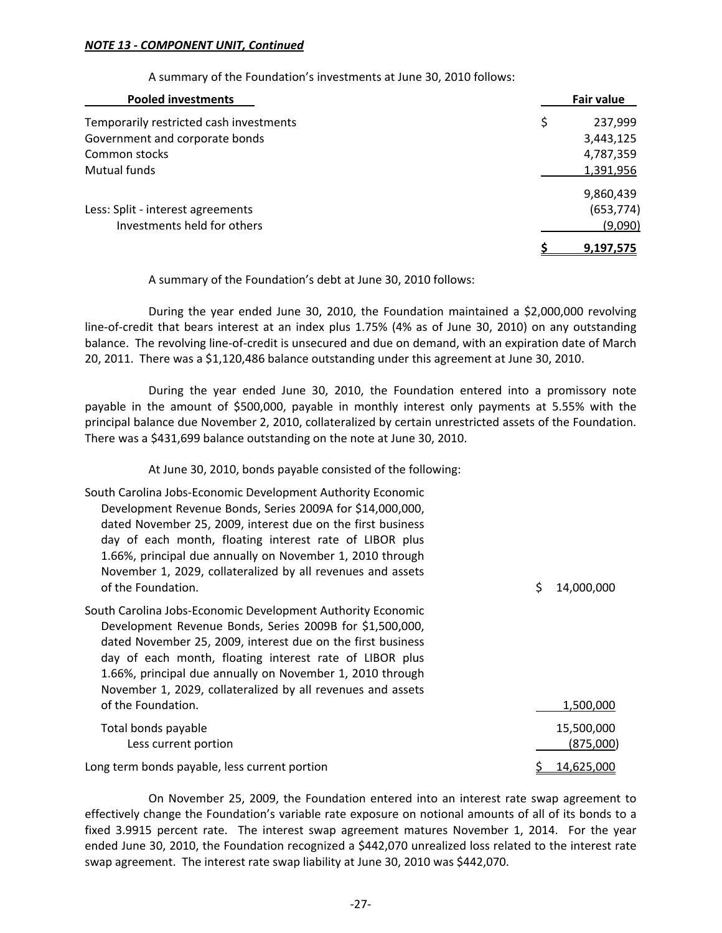#### *NOTE 13 ‐ COMPONENT UNIT, Continued*

A summary of the Foundation's investments at June 30, 2010 follows:

| <b>Pooled investments</b>               | <b>Fair value</b> |
|-----------------------------------------|-------------------|
| Temporarily restricted cash investments | \$<br>237,999     |
| Government and corporate bonds          | 3,443,125         |
| Common stocks                           | 4,787,359         |
| Mutual funds                            | 1,391,956         |
|                                         | 9,860,439         |
| Less: Split - interest agreements       | (653, 774)        |
| Investments held for others             | (9,090)           |
|                                         | 9,197,575         |

A summary of the Foundation's debt at June 30, 2010 follows:

 During the year ended June 30, 2010, the Foundation maintained a \$2,000,000 revolving line‐of‐credit that bears interest at an index plus 1.75% (4% as of June 30, 2010) on any outstanding balance. The revolving line‐of‐credit is unsecured and due on demand, with an expiration date of March 20, 2011. There was a \$1,120,486 balance outstanding under this agreement at June 30, 2010.

 During the year ended June 30, 2010, the Foundation entered into a promissory note payable in the amount of \$500,000, payable in monthly interest only payments at 5.55% with the principal balance due November 2, 2010, collateralized by certain unrestricted assets of the Foundation. There was a \$431,699 balance outstanding on the note at June 30, 2010.

At June 30, 2010, bonds payable consisted of the following:

| South Carolina Jobs-Economic Development Authority Economic<br>Development Revenue Bonds, Series 2009A for \$14,000,000,<br>dated November 25, 2009, interest due on the first business<br>day of each month, floating interest rate of LIBOR plus<br>1.66%, principal due annually on November 1, 2010 through<br>November 1, 2029, collateralized by all revenues and assets                      |                         |
|-----------------------------------------------------------------------------------------------------------------------------------------------------------------------------------------------------------------------------------------------------------------------------------------------------------------------------------------------------------------------------------------------------|-------------------------|
| of the Foundation.<br>South Carolina Jobs-Economic Development Authority Economic<br>Development Revenue Bonds, Series 2009B for \$1,500,000,<br>dated November 25, 2009, interest due on the first business<br>day of each month, floating interest rate of LIBOR plus<br>1.66%, principal due annually on November 1, 2010 through<br>November 1, 2029, collateralized by all revenues and assets | \$<br>14,000,000        |
| of the Foundation.                                                                                                                                                                                                                                                                                                                                                                                  | 1,500,000               |
| Total bonds payable<br>Less current portion                                                                                                                                                                                                                                                                                                                                                         | 15,500,000<br>(875,000) |
| Long term bonds payable, less current portion                                                                                                                                                                                                                                                                                                                                                       | 14,625,000              |

 On November 25, 2009, the Foundation entered into an interest rate swap agreement to effectively change the Foundation's variable rate exposure on notional amounts of all of its bonds to a fixed 3.9915 percent rate. The interest swap agreement matures November 1, 2014. For the year ended June 30, 2010, the Foundation recognized a \$442,070 unrealized loss related to the interest rate swap agreement. The interest rate swap liability at June 30, 2010 was \$442,070.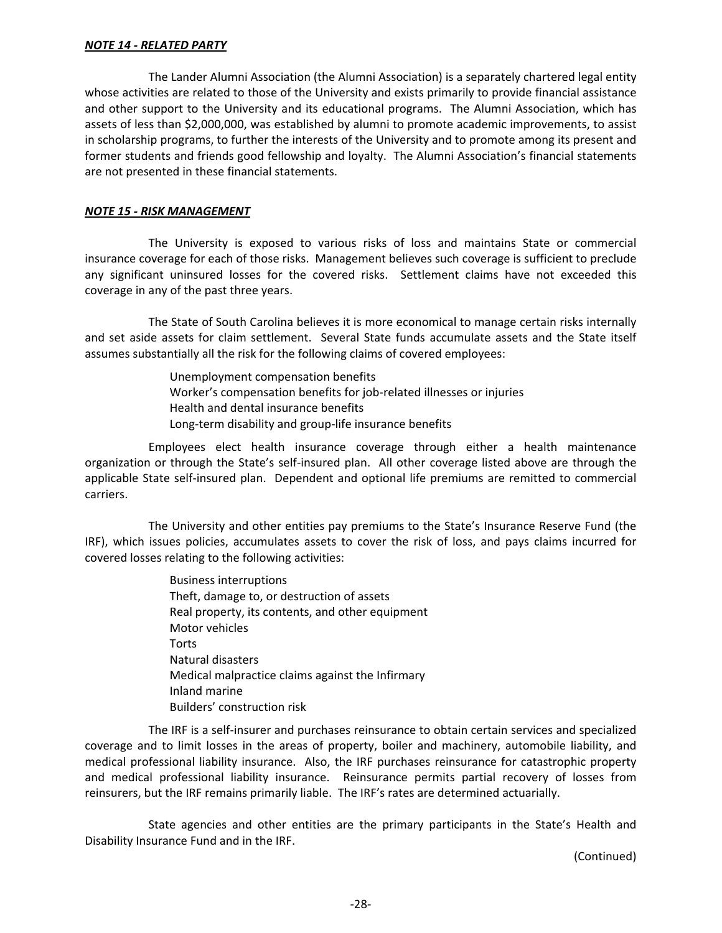### *NOTE 14 ‐ RELATED PARTY*

 The Lander Alumni Association (the Alumni Association) is a separately chartered legal entity whose activities are related to those of the University and exists primarily to provide financial assistance and other support to the University and its educational programs. The Alumni Association, which has assets of less than \$2,000,000, was established by alumni to promote academic improvements, to assist in scholarship programs, to further the interests of the University and to promote among its present and former students and friends good fellowship and loyalty. The Alumni Association's financial statements are not presented in these financial statements.

### *NOTE 15 ‐ RISK MANAGEMENT*

 The University is exposed to various risks of loss and maintains State or commercial insurance coverage for each of those risks. Management believes such coverage is sufficient to preclude any significant uninsured losses for the covered risks. Settlement claims have not exceeded this coverage in any of the past three years.

 The State of South Carolina believes it is more economical to manage certain risks internally and set aside assets for claim settlement. Several State funds accumulate assets and the State itself assumes substantially all the risk for the following claims of covered employees:

> Unemployment compensation benefits Worker's compensation benefits for job-related illnesses or injuries Health and dental insurance benefits Long‐term disability and group‐life insurance benefits

 Employees elect health insurance coverage through either a health maintenance organization or through the State's self‐insured plan. All other coverage listed above are through the applicable State self‐insured plan. Dependent and optional life premiums are remitted to commercial carriers.

 The University and other entities pay premiums to the State's Insurance Reserve Fund (the IRF), which issues policies, accumulates assets to cover the risk of loss, and pays claims incurred for covered losses relating to the following activities:

> Business interruptions Theft, damage to, or destruction of assets Real property, its contents, and other equipment Motor vehicles Torts Natural disasters Medical malpractice claims against the Infirmary Inland marine Builders' construction risk

 The IRF is a self‐insurer and purchases reinsurance to obtain certain services and specialized coverage and to limit losses in the areas of property, boiler and machinery, automobile liability, and medical professional liability insurance. Also, the IRF purchases reinsurance for catastrophic property and medical professional liability insurance. Reinsurance permits partial recovery of losses from reinsurers, but the IRF remains primarily liable. The IRF's rates are determined actuarially.

 State agencies and other entities are the primary participants in the State's Health and Disability Insurance Fund and in the IRF.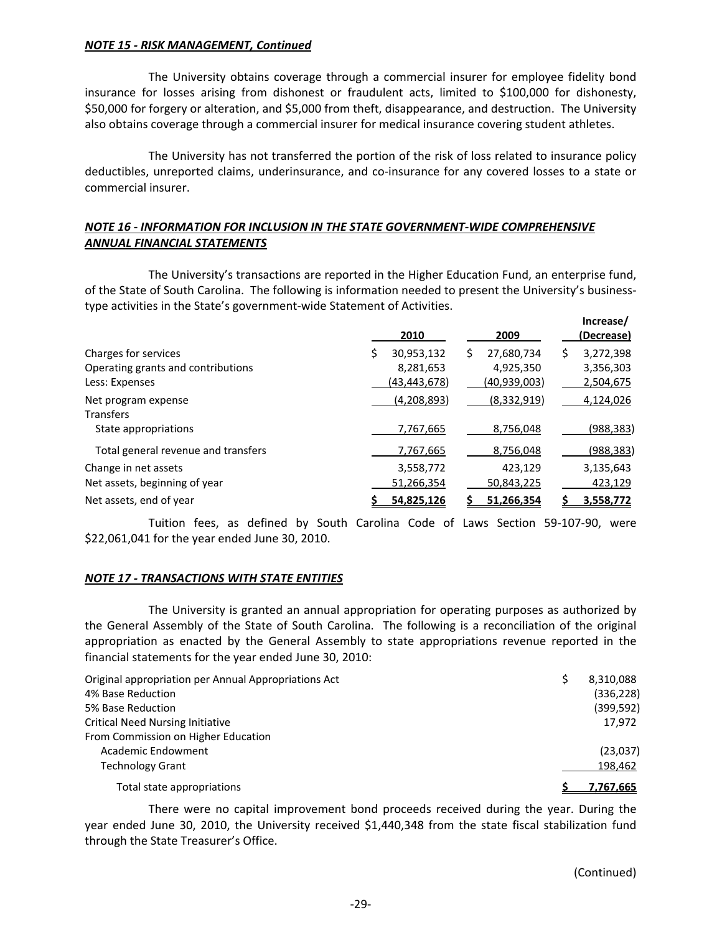### *NOTE 15 ‐ RISK MANAGEMENT, Continued*

 The University obtains coverage through a commercial insurer for employee fidelity bond insurance for losses arising from dishonest or fraudulent acts, limited to \$100,000 for dishonesty, \$50,000 for forgery or alteration, and \$5,000 from theft, disappearance, and destruction. The University also obtains coverage through a commercial insurer for medical insurance covering student athletes.

 The University has not transferred the portion of the risk of loss related to insurance policy deductibles, unreported claims, underinsurance, and co-insurance for any covered losses to a state or commercial insurer.

## *NOTE 16 ‐ INFORMATION FOR INCLUSION IN THE STATE GOVERNMENT‐WIDE COMPREHENSIVE ANNUAL FINANCIAL STATEMENTS*

 The University's transactions are reported in the Higher Education Fund, an enterprise fund, of the State of South Carolina. The following is information needed to present the University's businesstype activities in the State's government‐wide Statement of Activities.

|                                                                                  | 2010                                         | 2009                                         | Increase/<br>(Decrease)             |
|----------------------------------------------------------------------------------|----------------------------------------------|----------------------------------------------|-------------------------------------|
| Charges for services<br>Operating grants and contributions<br>Less: Expenses     | 30,953,132<br>S<br>8,281,653<br>(43,443,678) | 27,680,734<br>Ś<br>4,925,350<br>(40,939,003) | 3,272,398<br>3,356,303<br>2,504,675 |
| Net program expense<br><b>Transfers</b><br>State appropriations                  | (4,208,893)<br>7,767,665                     | (8,332,919)<br>8,756,048                     | 4,124,026<br>(988, 383)             |
| Total general revenue and transfers                                              | 7,767,665                                    | 8,756,048                                    | (988, 383)                          |
| Change in net assets<br>Net assets, beginning of year<br>Net assets, end of year | 3,558,772<br>51,266,354<br>54,825,126        | 423.129<br>50,843,225<br>51,266,354          | 3,135,643<br>423,129<br>3,558,772   |
|                                                                                  |                                              |                                              |                                     |

 Tuition fees, as defined by South Carolina Code of Laws Section 59‐107‐90, were \$22,061,041 for the year ended June 30, 2010.

#### *NOTE 17 ‐ TRANSACTIONS WITH STATE ENTITIES*

 The University is granted an annual appropriation for operating purposes as authorized by the General Assembly of the State of South Carolina. The following is a reconciliation of the original appropriation as enacted by the General Assembly to state appropriations revenue reported in the financial statements for the year ended June 30, 2010:

| Original appropriation per Annual Appropriations Act | 8.310.088        |
|------------------------------------------------------|------------------|
| 4% Base Reduction                                    | (336, 228)       |
| 5% Base Reduction                                    | (399, 592)       |
| <b>Critical Need Nursing Initiative</b>              | 17.972           |
| From Commission on Higher Education                  |                  |
| Academic Endowment                                   | (23,037)         |
| Technology Grant                                     | 198,462          |
| Total state appropriations                           | <u>7,767,665</u> |

 There were no capital improvement bond proceeds received during the year. During the year ended June 30, 2010, the University received \$1,440,348 from the state fiscal stabilization fund through the State Treasurer's Office.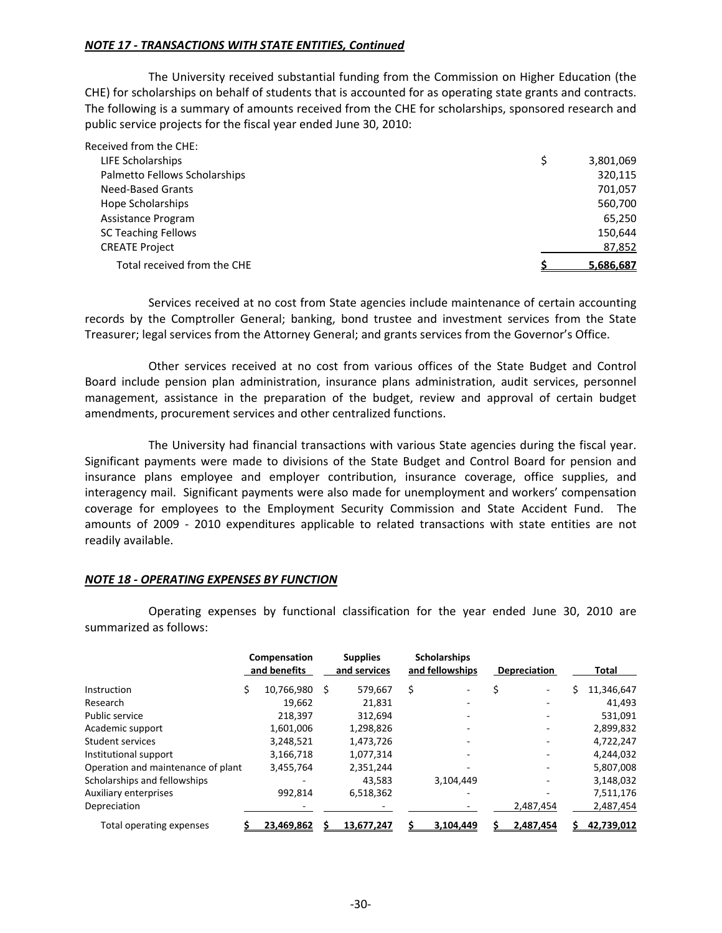### *NOTE 17 ‐ TRANSACTIONS WITH STATE ENTITIES, Continued*

 The University received substantial funding from the Commission on Higher Education (the CHE) for scholarships on behalf of students that is accounted for as operating state grants and contracts. The following is a summary of amounts received from the CHE for scholarships, sponsored research and public service projects for the fiscal year ended June 30, 2010:

| Received from the CHE:        |                |
|-------------------------------|----------------|
| LIFE Scholarships             | S<br>3,801,069 |
| Palmetto Fellows Scholarships | 320,115        |
| Need-Based Grants             | 701,057        |
| Hope Scholarships             | 560,700        |
| Assistance Program            | 65,250         |
| <b>SC Teaching Fellows</b>    | 150,644        |
| <b>CREATE Project</b>         | 87,852         |
| Total received from the CHE   | 5,686,687      |

 Services received at no cost from State agencies include maintenance of certain accounting records by the Comptroller General; banking, bond trustee and investment services from the State Treasurer; legal services from the Attorney General; and grants services from the Governor's Office.

 Other services received at no cost from various offices of the State Budget and Control Board include pension plan administration, insurance plans administration, audit services, personnel management, assistance in the preparation of the budget, review and approval of certain budget amendments, procurement services and other centralized functions.

 The University had financial transactions with various State agencies during the fiscal year. Significant payments were made to divisions of the State Budget and Control Board for pension and insurance plans employee and employer contribution, insurance coverage, office supplies, and interagency mail. Significant payments were also made for unemployment and workers' compensation coverage for employees to the Employment Security Commission and State Accident Fund. The amounts of 2009 - 2010 expenditures applicable to related transactions with state entities are not readily available.

#### *NOTE 18 ‐ OPERATING EXPENSES BY FUNCTION*

 Operating expenses by functional classification for the year ended June 30, 2010 are summarized as follows:

|                                    |    | Compensation<br>and benefits |     | <b>Supplies</b><br>and services | <b>Scholarships</b><br>and fellowships | Depreciation |   | Total      |
|------------------------------------|----|------------------------------|-----|---------------------------------|----------------------------------------|--------------|---|------------|
| Instruction                        | Ś. | 10,766,980                   | - S | 579,667                         | \$                                     |              | S | 11,346,647 |
| Research                           |    | 19.662                       |     | 21,831                          |                                        |              |   | 41,493     |
| Public service                     |    | 218.397                      |     | 312.694                         |                                        |              |   | 531,091    |
| Academic support                   |    | 1,601,006                    |     | 1,298,826                       |                                        |              |   | 2,899,832  |
| Student services                   |    | 3,248,521                    |     | 1,473,726                       |                                        |              |   | 4,722,247  |
| Institutional support              |    | 3,166,718                    |     | 1,077,314                       |                                        |              |   | 4,244,032  |
| Operation and maintenance of plant |    | 3,455,764                    |     | 2,351,244                       |                                        |              |   | 5,807,008  |
| Scholarships and fellowships       |    |                              |     | 43,583                          | 3,104,449                              |              |   | 3,148,032  |
| Auxiliary enterprises              |    | 992,814                      |     | 6,518,362                       |                                        |              |   | 7,511,176  |
| Depreciation                       |    |                              |     |                                 |                                        | 2,487,454    |   | 2,487,454  |
| Total operating expenses           |    | 23.469.862                   |     | 13.677.247                      | 3.104.449                              | 2.487.454    |   | 42.739.012 |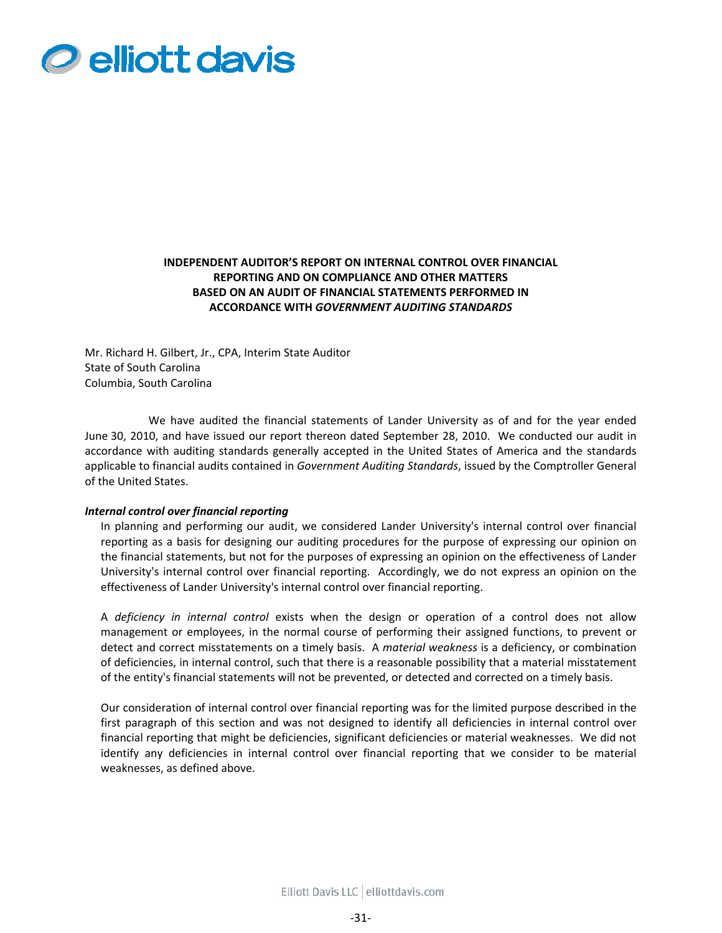

### **INDEPENDENT AUDITOR'S REPORT ON INTERNAL CONTROL OVER FINANCIAL REPORTING AND ON COMPLIANCE AND OTHER MATTERS BASED ON AN AUDIT OF FINANCIAL STATEMENTS PERFORMED IN ACCORDANCE WITH** *GOVERNMENT AUDITING STANDARDS*

Mr. Richard H. Gilbert, Jr., CPA, Interim State Auditor State of South Carolina Columbia, South Carolina

 We have audited the financial statements of Lander University as of and for the year ended June 30, 2010, and have issued our report thereon dated September 28, 2010. We conducted our audit in accordance with auditing standards generally accepted in the United States of America and the standards applicable to financial audits contained in *Government Auditing Standards*, issued by the Comptroller General of the United States.

#### *Internal control over financial reporting*

In planning and performing our audit, we considered Lander University's internal control over financial reporting as a basis for designing our auditing procedures for the purpose of expressing our opinion on the financial statements, but not for the purposes of expressing an opinion on the effectiveness of Lander University's internal control over financial reporting. Accordingly, we do not express an opinion on the effectiveness of Lander University's internal control over financial reporting.

A *deficiency in internal control* exists when the design or operation of a control does not allow management or employees, in the normal course of performing their assigned functions, to prevent or detect and correct misstatements on a timely basis. A *material weakness* is a deficiency, or combination of deficiencies, in internal control, such that there is a reasonable possibility that a material misstatement of the entity's financial statements will not be prevented, or detected and corrected on a timely basis.

Our consideration of internal control over financial reporting was for the limited purpose described in the first paragraph of this section and was not designed to identify all deficiencies in internal control over financial reporting that might be deficiencies, significant deficiencies or material weaknesses. We did not identify any deficiencies in internal control over financial reporting that we consider to be material weaknesses, as defined above.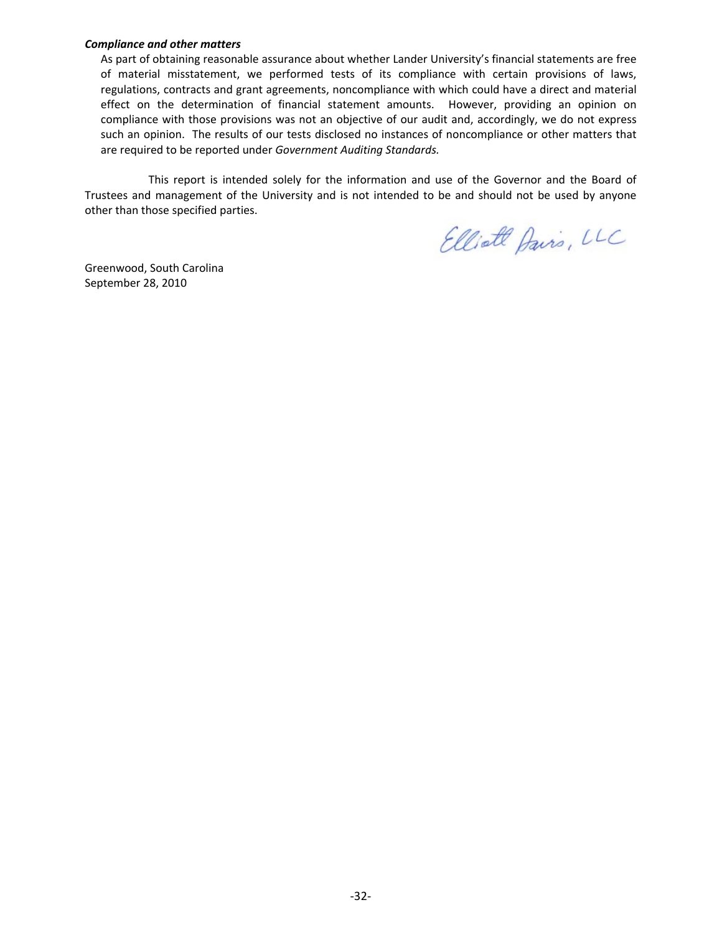#### *Compliance and other matters*

As part of obtaining reasonable assurance about whether Lander University's financial statements are free of material misstatement, we performed tests of its compliance with certain provisions of laws, regulations, contracts and grant agreements, noncompliance with which could have a direct and material effect on the determination of financial statement amounts. However, providing an opinion on compliance with those provisions was not an objective of our audit and, accordingly, we do not express such an opinion. The results of our tests disclosed no instances of noncompliance or other matters that are required to be reported under *Government Auditing Standards.*

 This report is intended solely for the information and use of the Governor and the Board of Trustees and management of the University and is not intended to be and should not be used by anyone other than those specified parties.

Elliatt Davis, LLC

Greenwood, South Carolina September 28, 2010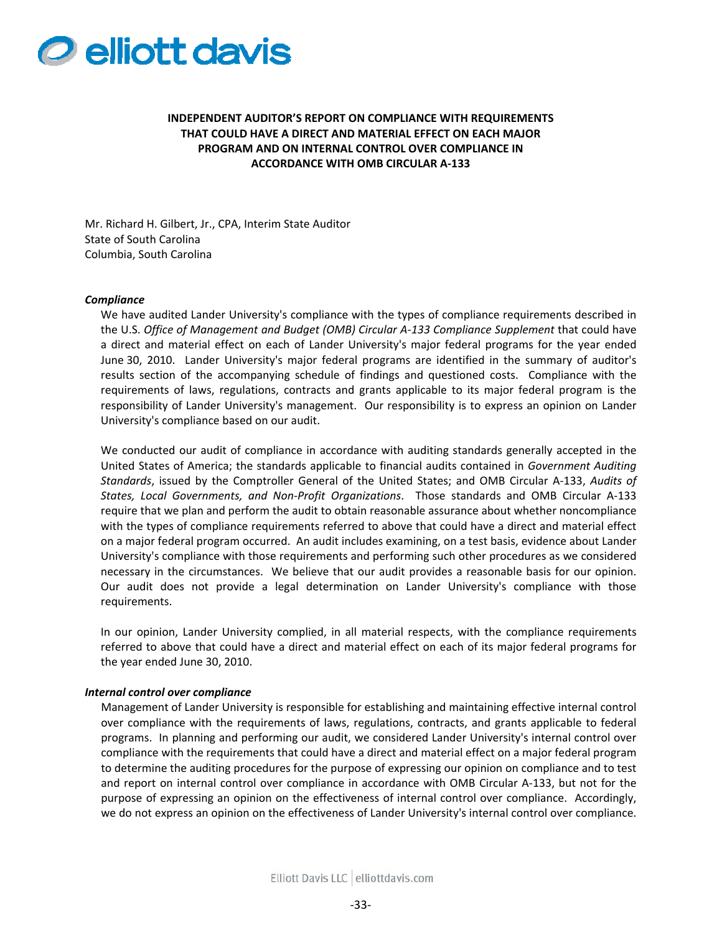

### **INDEPENDENT AUDITOR'S REPORT ON COMPLIANCE WITH REQUIREMENTS THAT COULD HAVE A DIRECT AND MATERIAL EFFECT ON EACH MAJOR PROGRAM AND ON INTERNAL CONTROL OVER COMPLIANCE IN ACCORDANCE WITH OMB CIRCULAR A‐133**

Mr. Richard H. Gilbert, Jr., CPA, Interim State Auditor State of South Carolina Columbia, South Carolina

#### *Compliance*

We have audited Lander University's compliance with the types of compliance requirements described in the U.S. *Office of Management and Budget (OMB) Circular A‐133 Compliance Supplement* that could have a direct and material effect on each of Lander University's major federal programs for the year ended June 30, 2010. Lander University's major federal programs are identified in the summary of auditor's results section of the accompanying schedule of findings and questioned costs. Compliance with the requirements of laws, regulations, contracts and grants applicable to its major federal program is the responsibility of Lander University's management. Our responsibility is to express an opinion on Lander University's compliance based on our audit.

We conducted our audit of compliance in accordance with auditing standards generally accepted in the United States of America; the standards applicable to financial audits contained in *Government Auditing Standards*, issued by the Comptroller General of the United States; and OMB Circular A‐133, *Audits of States, Local Governments, and Non‐Profit Organizations*. Those standards and OMB Circular A‐133 require that we plan and perform the audit to obtain reasonable assurance about whether noncompliance with the types of compliance requirements referred to above that could have a direct and material effect on a major federal program occurred. An audit includes examining, on a test basis, evidence about Lander University's compliance with those requirements and performing such other procedures as we considered necessary in the circumstances. We believe that our audit provides a reasonable basis for our opinion. Our audit does not provide a legal determination on Lander University's compliance with those requirements.

In our opinion, Lander University complied, in all material respects, with the compliance requirements referred to above that could have a direct and material effect on each of its major federal programs for the year ended June 30, 2010.

#### *Internal control over compliance*

Management of Lander University is responsible for establishing and maintaining effective internal control over compliance with the requirements of laws, regulations, contracts, and grants applicable to federal programs. In planning and performing our audit, we considered Lander University's internal control over compliance with the requirements that could have a direct and material effect on a major federal program to determine the auditing procedures for the purpose of expressing our opinion on compliance and to test and report on internal control over compliance in accordance with OMB Circular A‐133, but not for the purpose of expressing an opinion on the effectiveness of internal control over compliance. Accordingly, we do not express an opinion on the effectiveness of Lander University's internal control over compliance.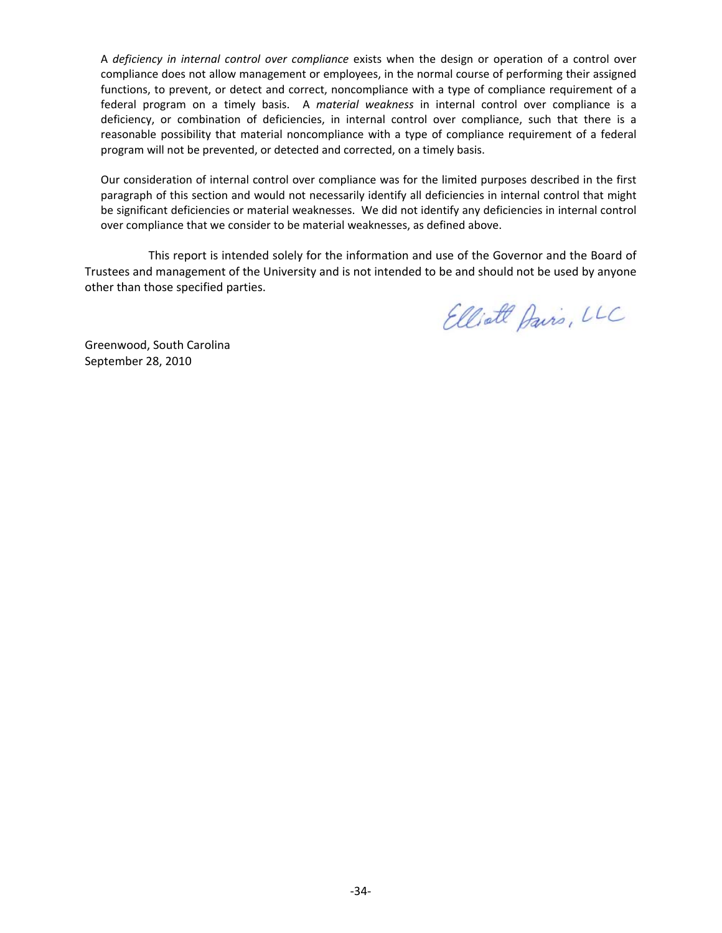A *deficiency in internal control over compliance* exists when the design or operation of a control over compliance does not allow management or employees, in the normal course of performing their assigned functions, to prevent, or detect and correct, noncompliance with a type of compliance requirement of a federal program on a timely basis. A *material weakness* in internal control over compliance is a deficiency, or combination of deficiencies, in internal control over compliance, such that there is a reasonable possibility that material noncompliance with a type of compliance requirement of a federal program will not be prevented, or detected and corrected, on a timely basis.

Our consideration of internal control over compliance was for the limited purposes described in the first paragraph of this section and would not necessarily identify all deficiencies in internal control that might be significant deficiencies or material weaknesses. We did not identify any deficiencies in internal control over compliance that we consider to be material weaknesses, as defined above.

 This report is intended solely for the information and use of the Governor and the Board of Trustees and management of the University and is not intended to be and should not be used by anyone other than those specified parties.

Elliatt Davis, LLC

Greenwood, South Carolina September 28, 2010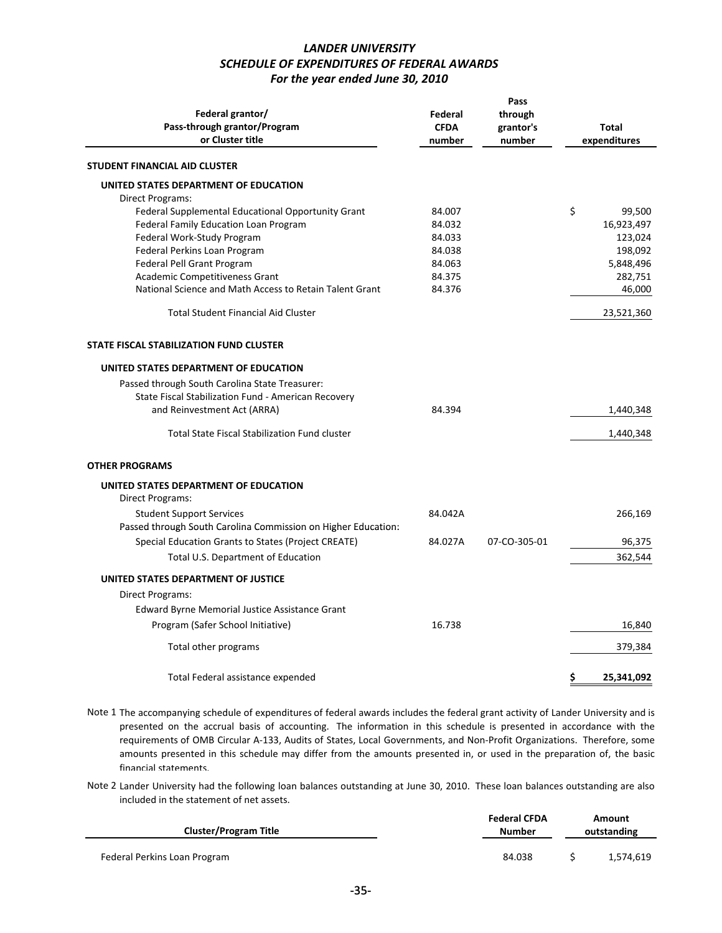### *LANDER UNIVERSITY SCHEDULE OF EXPENDITURES OF FEDERAL AWARDS For the year ended June 30, 2010*

| Federal grantor/<br>Pass-through grantor/Program<br>or Cluster title | Federal<br><b>CFDA</b><br>number | Pass<br>through<br>grantor's<br>number | <b>Total</b><br>expenditures |
|----------------------------------------------------------------------|----------------------------------|----------------------------------------|------------------------------|
| <b>STUDENT FINANCIAL AID CLUSTER</b>                                 |                                  |                                        |                              |
| UNITED STATES DEPARTMENT OF EDUCATION<br>Direct Programs:            |                                  |                                        |                              |
| Federal Supplemental Educational Opportunity Grant                   | 84.007                           |                                        | \$<br>99,500                 |
| Federal Family Education Loan Program                                | 84.032                           |                                        | 16,923,497                   |
| Federal Work-Study Program                                           | 84.033                           |                                        | 123,024                      |
| Federal Perkins Loan Program                                         | 84.038                           |                                        | 198,092                      |
| Federal Pell Grant Program                                           | 84.063                           |                                        | 5,848,496                    |
| <b>Academic Competitiveness Grant</b>                                | 84.375                           |                                        | 282,751                      |
| National Science and Math Access to Retain Talent Grant              | 84.376                           |                                        | 46,000                       |
| <b>Total Student Financial Aid Cluster</b>                           |                                  |                                        | 23,521,360                   |
| STATE FISCAL STABILIZATION FUND CLUSTER                              |                                  |                                        |                              |
| UNITED STATES DEPARTMENT OF EDUCATION                                |                                  |                                        |                              |
| Passed through South Carolina State Treasurer:                       |                                  |                                        |                              |
| State Fiscal Stabilization Fund - American Recovery                  |                                  |                                        |                              |
| and Reinvestment Act (ARRA)                                          | 84.394                           |                                        | 1,440,348                    |
| <b>Total State Fiscal Stabilization Fund cluster</b>                 |                                  |                                        | 1,440,348                    |
| <b>OTHER PROGRAMS</b>                                                |                                  |                                        |                              |
| UNITED STATES DEPARTMENT OF EDUCATION<br>Direct Programs:            |                                  |                                        |                              |
| <b>Student Support Services</b>                                      | 84.042A                          |                                        | 266,169                      |
| Passed through South Carolina Commission on Higher Education:        |                                  |                                        |                              |
| Special Education Grants to States (Project CREATE)                  | 84.027A                          | 07-CO-305-01                           | 96,375                       |
| Total U.S. Department of Education                                   |                                  |                                        | 362,544                      |
| UNITED STATES DEPARTMENT OF JUSTICE                                  |                                  |                                        |                              |
| Direct Programs:                                                     |                                  |                                        |                              |
| <b>Edward Byrne Memorial Justice Assistance Grant</b>                |                                  |                                        |                              |
| Program (Safer School Initiative)                                    | 16.738                           |                                        | 16,840                       |
| Total other programs                                                 |                                  |                                        | 379,384                      |
| Total Federal assistance expended                                    |                                  |                                        | \$<br>25,341,092             |

- Note 1 The accompanying schedule of expenditures of federal awards includes the federal grant activity of Lander University and is presented on the accrual basis of accounting. The information in this schedule is presented in accordance with the requirements of OMB Circular A‐133, Audits of States, Local Governments, and Non‐Profit Organizations. Therefore, some amounts presented in this schedule may differ from the amounts presented in, or used in the preparation of, the basic financial statements.
- Note 2 Lander University had the following loan balances outstanding at June 30, 2010. These loan balances outstanding are also included in the statement of net assets.

| <b>Cluster/Program Title</b> | <b>Federal CFDA</b><br><b>Number</b> | Amount<br>outstanding |
|------------------------------|--------------------------------------|-----------------------|
| Federal Perkins Loan Program | 84.038                               | 1,574,619             |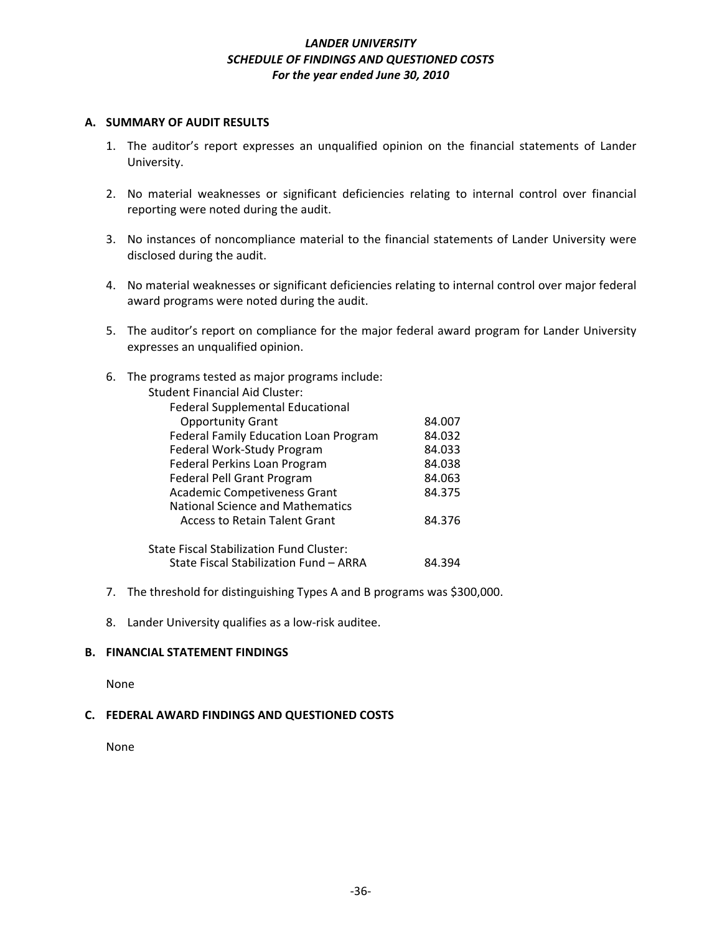## *LANDER UNIVERSITY SCHEDULE OF FINDINGS AND QUESTIONED COSTS For the year ended June 30, 2010*

### **A. SUMMARY OF AUDIT RESULTS**

- 1. The auditor's report expresses an unqualified opinion on the financial statements of Lander University.
- 2. No material weaknesses or significant deficiencies relating to internal control over financial reporting were noted during the audit.
- 3. No instances of noncompliance material to the financial statements of Lander University were disclosed during the audit.
- 4. No material weaknesses or significant deficiencies relating to internal control over major federal award programs were noted during the audit.
- 5. The auditor's report on compliance for the major federal award program for Lander University expresses an unqualified opinion.
- 6. The programs tested as major programs include:

|  | 6. The programs tested as inajor programs include: |        |
|--|----------------------------------------------------|--------|
|  | <b>Student Financial Aid Cluster:</b>              |        |
|  | <b>Federal Supplemental Educational</b>            |        |
|  | <b>Opportunity Grant</b>                           | 84.007 |
|  | <b>Federal Family Education Loan Program</b>       | 84.032 |
|  | Federal Work-Study Program                         | 84.033 |
|  | Federal Perkins Loan Program                       | 84.038 |
|  | Federal Pell Grant Program                         | 84.063 |
|  | <b>Academic Competiveness Grant</b>                | 84.375 |
|  | <b>National Science and Mathematics</b>            |        |
|  | <b>Access to Retain Talent Grant</b>               | 84.376 |
|  | <b>State Fiscal Stabilization Fund Cluster:</b>    |        |
|  |                                                    |        |

| State Fiscal Stabilization Fund - ARRA | 84.394 |
|----------------------------------------|--------|
|                                        |        |

- 7. The threshold for distinguishing Types A and B programs was \$300,000.
- 8. Lander University qualifies as a low-risk auditee.

### **B. FINANCIAL STATEMENT FINDINGS**

None

## **C. FEDERAL AWARD FINDINGS AND QUESTIONED COSTS**

None